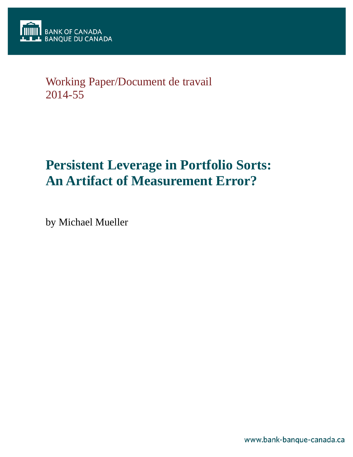

# Working Paper/Document de travail 2014-55

# **Persistent Leverage in Portfolio Sorts: An Artifact of Measurement Error?**

by Michael Mueller

www.bank-banque-canada.ca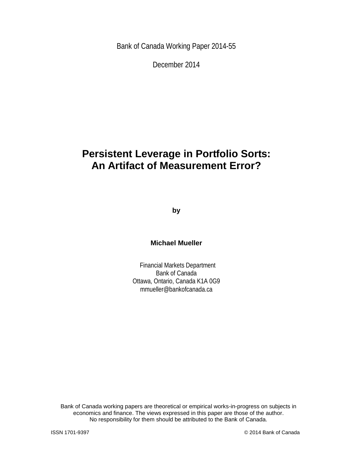Bank of Canada Working Paper 2014-55

December 2014

# **Persistent Leverage in Portfolio Sorts: An Artifact of Measurement Error?**

**by**

### **Michael Mueller**

Financial Markets Department Bank of Canada Ottawa, Ontario, Canada K1A 0G9 mmueller@bankofcanada.ca

Bank of Canada working papers are theoretical or empirical works-in-progress on subjects in economics and finance. The views expressed in this paper are those of the author. No responsibility for them should be attributed to the Bank of Canada.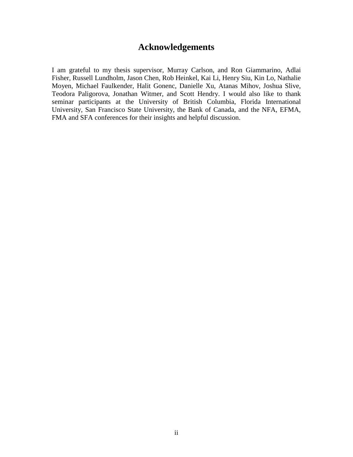# **Acknowledgements**

I am grateful to my thesis supervisor, Murray Carlson, and Ron Giammarino, Adlai Fisher, Russell Lundholm, Jason Chen, Rob Heinkel, Kai Li, Henry Siu, Kin Lo, Nathalie Moyen, Michael Faulkender, Halit Gonenc, Danielle Xu, Atanas Mihov, Joshua Slive, Teodora Paligorova, Jonathan Witmer, and Scott Hendry. I would also like to thank seminar participants at the University of British Columbia, Florida International University, San Francisco State University, the Bank of Canada, and the NFA, EFMA, FMA and SFA conferences for their insights and helpful discussion.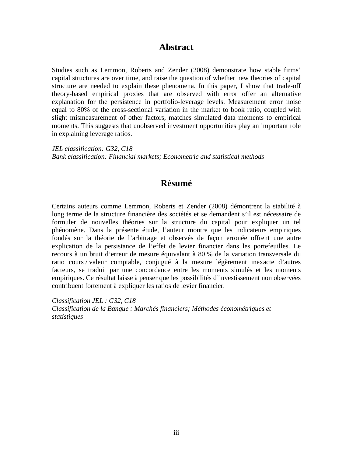# **Abstract**

Studies such as Lemmon, Roberts and Zender (2008) demonstrate how stable firms' capital structures are over time, and raise the question of whether new theories of capital structure are needed to explain these phenomena. In this paper, I show that trade-off theory-based empirical proxies that are observed with error offer an alternative explanation for the persistence in portfolio-leverage levels. Measurement error noise equal to 80% of the cross-sectional variation in the market to book ratio, coupled with slight mismeasurement of other factors, matches simulated data moments to empirical moments. This suggests that unobserved investment opportunities play an important role in explaining leverage ratios.

*JEL classification: G32, C18 Bank classification: Financial markets; Econometric and statistical methods*

# **Résumé**

Certains auteurs comme Lemmon, Roberts et Zender (2008) démontrent la stabilité à long terme de la structure financière des sociétés et se demandent s'il est nécessaire de formuler de nouvelles théories sur la structure du capital pour expliquer un tel phénomène. Dans la présente étude, l'auteur montre que les indicateurs empiriques fondés sur la théorie de l'arbitrage et observés de façon erronée offrent une autre explication de la persistance de l'effet de levier financier dans les portefeuilles. Le recours à un bruit d'erreur de mesure équivalant à 80 % de la variation transversale du ratio cours / valeur comptable, conjugué à la mesure légèrement inexacte d'autres facteurs, se traduit par une concordance entre les moments simulés et les moments empiriques. Ce résultat laisse à penser que les possibilités d'investissement non observées contribuent fortement à expliquer les ratios de levier financier.

*Classification JEL : G32, C18 Classification de la Banque : Marchés financiers; Méthodes économétriques et statistiques*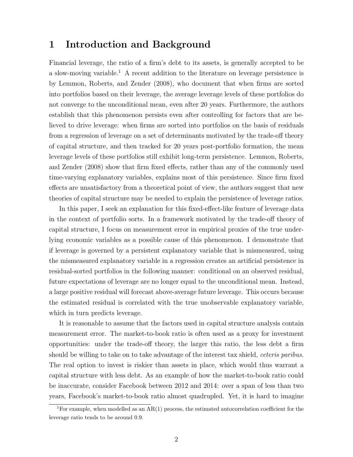### 1 Introduction and Background

Financial leverage, the ratio of a firm's debt to its assets, is generally accepted to be a slow-moving variable.<sup>1</sup> A recent addition to the literature on leverage persistence is by Lemmon, Roberts, and Zender (2008), who document that when firms are sorted into portfolios based on their leverage, the average leverage levels of these portfolios do not converge to the unconditional mean, even after 20 years. Furthermore, the authors establish that this phenomenon persists even after controlling for factors that are believed to drive leverage: when firms are sorted into portfolios on the basis of residuals from a regression of leverage on a set of determinants motivated by the trade-off theory of capital structure, and then tracked for 20 years post-portfolio formation, the mean leverage levels of these portfolios still exhibit long-term persistence. Lemmon, Roberts, and Zender (2008) show that firm fixed effects, rather than any of the commonly used time-varying explanatory variables, explains most of this persistence. Since firm fixed effects are unsatisfactory from a theoretical point of view, the authors suggest that new theories of capital structure may be needed to explain the persistence of leverage ratios.

In this paper, I seek an explanation for this fixed-effect-like feature of leverage data in the context of portfolio sorts. In a framework motivated by the trade-off theory of capital structure, I focus on measurement error in empirical proxies of the true underlying economic variables as a possible cause of this phenomenon. I demonstrate that if leverage is governed by a persistent explanatory variable that is mismeasured, using the mismeasured explanatory variable in a regression creates an artificial persistence in residual-sorted portfolios in the following manner: conditional on an observed residual, future expectations of leverage are no longer equal to the unconditional mean. Instead, a large positive residual will forecast above-average future leverage. This occurs because the estimated residual is correlated with the true unobservable explanatory variable, which in turn predicts leverage.

It is reasonable to assume that the factors used in capital structure analysis contain measurement error. The market-to-book ratio is often used as a proxy for investment opportunities: under the trade-off theory, the larger this ratio, the less debt a firm should be willing to take on to take advantage of the interest tax shield, ceteris paribus. The real option to invest is riskier than assets in place, which would thus warrant a capital structure with less debt. As an example of how the market-to-book ratio could be inaccurate, consider Facebook between 2012 and 2014: over a span of less than two years, Facebook's market-to-book ratio almost quadrupled. Yet, it is hard to imagine

<sup>&</sup>lt;sup>1</sup>For example, when modelled as an  $AR(1)$  process, the estimated autocorrelation coefficient for the leverage ratio tends to be around 0.9.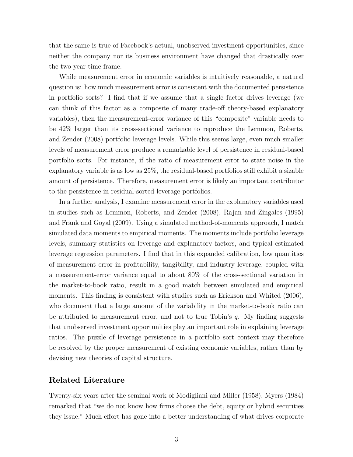that the same is true of Facebook's actual, unobserved investment opportunities, since neither the company nor its business environment have changed that drastically over the two-year time frame.

While measurement error in economic variables is intuitively reasonable, a natural question is: how much measurement error is consistent with the documented persistence in portfolio sorts? I find that if we assume that a single factor drives leverage (we can think of this factor as a composite of many trade-off theory-based explanatory variables), then the measurement-error variance of this "composite" variable needs to be 42% larger than its cross-sectional variance to reproduce the Lemmon, Roberts, and Zender (2008) portfolio leverage levels. While this seems large, even much smaller levels of measurement error produce a remarkable level of persistence in residual-based portfolio sorts. For instance, if the ratio of measurement error to state noise in the explanatory variable is as low as 25%, the residual-based portfolios still exhibit a sizable amount of persistence. Therefore, measurement error is likely an important contributor to the persistence in residual-sorted leverage portfolios.

In a further analysis, I examine measurement error in the explanatory variables used in studies such as Lemmon, Roberts, and Zender (2008), Rajan and Zingales (1995) and Frank and Goyal (2009). Using a simulated method-of-moments approach, I match simulated data moments to empirical moments. The moments include portfolio leverage levels, summary statistics on leverage and explanatory factors, and typical estimated leverage regression parameters. I find that in this expanded calibration, low quantities of measurement error in profitability, tangibility, and industry leverage, coupled with a measurement-error variance equal to about 80% of the cross-sectional variation in the market-to-book ratio, result in a good match between simulated and empirical moments. This finding is consistent with studies such as Erickson and Whited (2006), who document that a large amount of the variability in the market-to-book ratio can be attributed to measurement error, and not to true Tobin's  $q$ . My finding suggests that unobserved investment opportunities play an important role in explaining leverage ratios. The puzzle of leverage persistence in a portfolio sort context may therefore be resolved by the proper measurement of existing economic variables, rather than by devising new theories of capital structure.

### Related Literature

Twenty-six years after the seminal work of Modigliani and Miller (1958), Myers (1984) remarked that "we do not know how firms choose the debt, equity or hybrid securities they issue." Much effort has gone into a better understanding of what drives corporate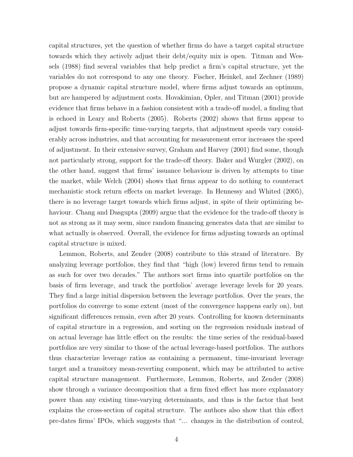capital structures, yet the question of whether firms do have a target capital structure towards which they actively adjust their debt/equity mix is open. Titman and Wessels (1988) find several variables that help predict a firm's capital structure, yet the variables do not correspond to any one theory. Fischer, Heinkel, and Zechner (1989) propose a dynamic capital structure model, where firms adjust towards an optimum, but are hampered by adjustment costs. Hovakimian, Opler, and Titman (2001) provide evidence that firms behave in a fashion consistent with a trade-off model, a finding that is echoed in Leary and Roberts (2005). Roberts (2002) shows that firms appear to adjust towards firm-specific time-varying targets, that adjustment speeds vary considerably across industries, and that accounting for measurement error increases the speed of adjustment. In their extensive survey, Graham and Harvey (2001) find some, though not particularly strong, support for the trade-off theory. Baker and Wurgler (2002), on the other hand, suggest that firms' issuance behaviour is driven by attempts to time the market, while Welch (2004) shows that firms appear to do nothing to counteract mechanistic stock return effects on market leverage. In Hennessy and Whited (2005), there is no leverage target towards which firms adjust, in spite of their optimizing behaviour. Chang and Dasgupta (2009) argue that the evidence for the trade-off theory is not as strong as it may seem, since random financing generates data that are similar to what actually is observed. Overall, the evidence for firms adjusting towards an optimal capital structure is mixed.

Lemmon, Roberts, and Zender (2008) contribute to this strand of literature. By analyzing leverage portfolios, they find that "high (low) levered firms tend to remain as such for over two decades." The authors sort firms into quartile portfolios on the basis of firm leverage, and track the portfolios' average leverage levels for 20 years. They find a large initial dispersion between the leverage portfolios. Over the years, the portfolios do converge to some extent (most of the convergence happens early on), but significant differences remain, even after 20 years. Controlling for known determinants of capital structure in a regression, and sorting on the regression residuals instead of on actual leverage has little effect on the results: the time series of the residual-based portfolios are very similar to those of the actual leverage-based portfolios. The authors thus characterize leverage ratios as containing a permanent, time-invariant leverage target and a transitory mean-reverting component, which may be attributed to active capital structure management. Furthermore, Lemmon, Roberts, and Zender (2008) show through a variance decomposition that a firm fixed effect has more explanatory power than any existing time-varying determinants, and thus is the factor that best explains the cross-section of capital structure. The authors also show that this effect pre-dates firms' IPOs, which suggests that "... changes in the distribution of control,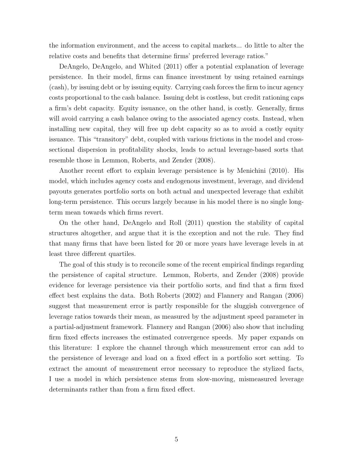the information environment, and the access to capital markets... do little to alter the relative costs and benefits that determine firms' preferred leverage ratios."

DeAngelo, DeAngelo, and Whited (2011) offer a potential explanation of leverage persistence. In their model, firms can finance investment by using retained earnings (cash), by issuing debt or by issuing equity. Carrying cash forces the firm to incur agency costs proportional to the cash balance. Issuing debt is costless, but credit rationing caps a firm's debt capacity. Equity issuance, on the other hand, is costly. Generally, firms will avoid carrying a cash balance owing to the associated agency costs. Instead, when installing new capital, they will free up debt capacity so as to avoid a costly equity issuance. This "transitory" debt, coupled with various frictions in the model and crosssectional dispersion in profitability shocks, leads to actual leverage-based sorts that resemble those in Lemmon, Roberts, and Zender (2008).

Another recent effort to explain leverage persistence is by Menichini (2010). His model, which includes agency costs and endogenous investment, leverage, and dividend payouts generates portfolio sorts on both actual and unexpected leverage that exhibit long-term persistence. This occurs largely because in his model there is no single longterm mean towards which firms revert.

On the other hand, DeAngelo and Roll (2011) question the stability of capital structures altogether, and argue that it is the exception and not the rule. They find that many firms that have been listed for 20 or more years have leverage levels in at least three different quartiles.

The goal of this study is to reconcile some of the recent empirical findings regarding the persistence of capital structure. Lemmon, Roberts, and Zender (2008) provide evidence for leverage persistence via their portfolio sorts, and find that a firm fixed effect best explains the data. Both Roberts (2002) and Flannery and Rangan (2006) suggest that measurement error is partly responsible for the sluggish convergence of leverage ratios towards their mean, as measured by the adjustment speed parameter in a partial-adjustment framework. Flannery and Rangan (2006) also show that including firm fixed effects increases the estimated convergence speeds. My paper expands on this literature: I explore the channel through which measurement error can add to the persistence of leverage and load on a fixed effect in a portfolio sort setting. To extract the amount of measurement error necessary to reproduce the stylized facts, I use a model in which persistence stems from slow-moving, mismeasured leverage determinants rather than from a firm fixed effect.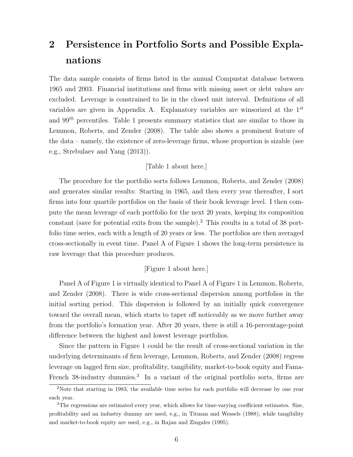# 2 Persistence in Portfolio Sorts and Possible Explanations

The data sample consists of firms listed in the annual Compustat database between 1965 and 2003. Financial institutions and firms with missing asset or debt values are excluded. Leverage is constrained to lie in the closed unit interval. Definitions of all variables are given in Appendix A. Explanatory variables are winsorized at the  $1^{st}$ and  $99<sup>th</sup>$  percentiles. Table 1 presents summary statistics that are similar to those in Lemmon, Roberts, and Zender (2008). The table also shows a prominent feature of the data – namely, the existence of zero-leverage firms, whose proportion is sizable (see e.g., Strebulaev and Yang (2013)).

### [Table 1 about here.]

The procedure for the portfolio sorts follows Lemmon, Roberts, and Zender (2008) and generates similar results: Starting in 1965, and then every year thereafter, I sort firms into four quartile portfolios on the basis of their book leverage level. I then compute the mean leverage of each portfolio for the next 20 years, keeping its composition constant (save for potential exits from the sample).<sup>2</sup> This results in a total of  $38$  portfolio time series, each with a length of 20 years or less. The portfolios are then averaged cross-sectionally in event time. Panel A of Figure 1 shows the long-term persistence in raw leverage that this procedure produces.

### [Figure 1 about here.]

Panel A of Figure 1 is virtually identical to Panel A of Figure 1 in Lemmon, Roberts, and Zender (2008). There is wide cross-sectional dispersion among portfolios in the initial sorting period. This dispersion is followed by an initially quick convergence toward the overall mean, which starts to taper off noticeably as we move further away from the portfolio's formation year. After 20 years, there is still a 16-percentage-point difference between the highest and lowest leverage portfolios.

Since the pattern in Figure 1 could be the result of cross-sectional variation in the underlying determinants of firm leverage, Lemmon, Roberts, and Zender (2008) regress leverage on lagged firm size, profitability, tangibility, market-to-book equity and Fama-French 38-industry dummies.<sup>3</sup> In a variant of the original portfolio sorts, firms are

<sup>&</sup>lt;sup>2</sup>Note that starting in 1983, the available time series for each portfolio will decrease by one year each year.

<sup>&</sup>lt;sup>3</sup>The regressions are estimated every year, which allows for time-varying coefficient estimates. Size, profitability and an industry dummy are used, e.g., in Titman and Wessels (1988), while tangibility and market-to-book equity are used, e.g., in Rajan and Zingales (1995).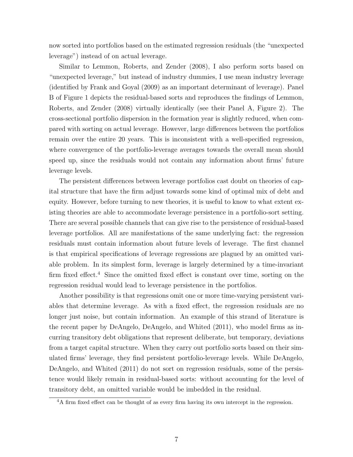now sorted into portfolios based on the estimated regression residuals (the "unexpected leverage") instead of on actual leverage.

Similar to Lemmon, Roberts, and Zender (2008), I also perform sorts based on "unexpected leverage," but instead of industry dummies, I use mean industry leverage (identified by Frank and Goyal (2009) as an important determinant of leverage). Panel B of Figure 1 depicts the residual-based sorts and reproduces the findings of Lemmon, Roberts, and Zender (2008) virtually identically (see their Panel A, Figure 2). The cross-sectional portfolio dispersion in the formation year is slightly reduced, when compared with sorting on actual leverage. However, large differences between the portfolios remain over the entire 20 years. This is inconsistent with a well-specified regression, where convergence of the portfolio-leverage averages towards the overall mean should speed up, since the residuals would not contain any information about firms' future leverage levels.

The persistent differences between leverage portfolios cast doubt on theories of capital structure that have the firm adjust towards some kind of optimal mix of debt and equity. However, before turning to new theories, it is useful to know to what extent existing theories are able to accommodate leverage persistence in a portfolio-sort setting. There are several possible channels that can give rise to the persistence of residual-based leverage portfolios. All are manifestations of the same underlying fact: the regression residuals must contain information about future levels of leverage. The first channel is that empirical specifications of leverage regressions are plagued by an omitted variable problem. In its simplest form, leverage is largely determined by a time-invariant firm fixed effect.<sup>4</sup> Since the omitted fixed effect is constant over time, sorting on the regression residual would lead to leverage persistence in the portfolios.

Another possibility is that regressions omit one or more time-varying persistent variables that determine leverage. As with a fixed effect, the regression residuals are no longer just noise, but contain information. An example of this strand of literature is the recent paper by DeAngelo, DeAngelo, and Whited (2011), who model firms as incurring transitory debt obligations that represent deliberate, but temporary, deviations from a target capital structure. When they carry out portfolio sorts based on their simulated firms' leverage, they find persistent portfolio-leverage levels. While DeAngelo, DeAngelo, and Whited (2011) do not sort on regression residuals, some of the persistence would likely remain in residual-based sorts: without accounting for the level of transitory debt, an omitted variable would be imbedded in the residual.

<sup>&</sup>lt;sup>4</sup>A firm fixed effect can be thought of as every firm having its own intercept in the regression.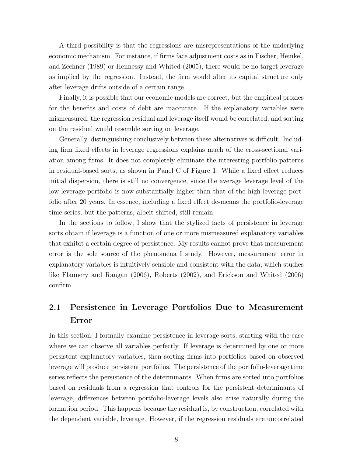A third possibility is that the regressions are misrepresentations of the underlying economic mechanism. For instance, if firms face adjustment costs as in Fischer, Heinkel, and Zechner (1989) or Hennessy and Whited (2005), there would be no target leverage as implied by the regression. Instead, the firm would alter its capital structure only after leverage drifts outside of a certain range.

Finally, it is possible that our economic models are correct, but the empirical proxies for the benefits and costs of debt are inaccurate. If the explanatory variables were mismeasured, the regression residual and leverage itself would be correlated, and sorting on the residual would resemble sorting on leverage.

Generally, distinguishing conclusively between these alternatives is difficult. Including firm fixed effects in leverage regressions explains much of the cross-sectional variation among firms. It does not completely eliminate the interesting portfolio patterns in residual-based sorts, as shown in Panel C of Figure 1. While a fixed effect reduces initial dispersion, there is still no convergence, since the average leverage level of the low-leverage portfolio is now substantially higher than that of the high-leverage portfolio after 20 years. In essence, including a fixed effect de-means the portfolio-leverage time series, but the patterns, albeit shifted, still remain.

In the sections to follow, I show that the stylized facts of persistence in leverage sorts obtain if leverage is a function of one or more mismeasured explanatory variables that exhibit a certain degree of persistence. My results cannot prove that measurement error is the sole source of the phenomena I study. However, measurement error in explanatory variables is intuitively sensible and consistent with the data, which studies like Flannery and Rangan (2006), Roberts (2002), and Erickson and Whited (2006) confirm.

# 2.1 Persistence in Leverage Portfolios Due to Measurement Error

In this section, I formally examine persistence in leverage sorts, starting with the case where we can observe all variables perfectly. If leverage is determined by one or more persistent explanatory variables, then sorting firms into portfolios based on observed leverage will produce persistent portfolios. The persistence of the portfolio-leverage time series reflects the persistence of the determinants. When firms are sorted into portfolios based on residuals from a regression that controls for the persistent determinants of leverage, differences between portfolio-leverage levels also arise naturally during the formation period. This happens because the residual is, by construction, correlated with the dependent variable, leverage. However, if the regression residuals are uncorrelated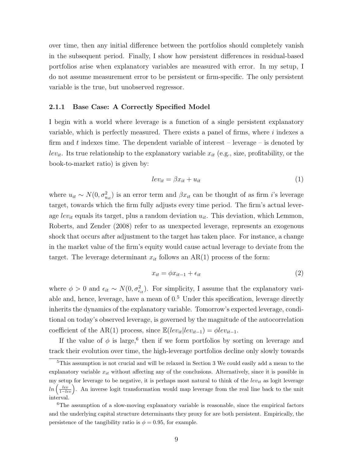over time, then any initial difference between the portfolios should completely vanish in the subsequent period. Finally, I show how persistent differences in residual-based portfolios arise when explanatory variables are measured with error. In my setup, I do not assume measurement error to be persistent or firm-specific. The only persistent variable is the true, but unobserved regressor.

### 2.1.1 Base Case: A Correctly Specified Model

I begin with a world where leverage is a function of a single persistent explanatory variable, which is perfectly measured. There exists a panel of firms, where  $i$  indexes a firm and t indexes time. The dependent variable of interest  $-$  leverage  $-$  is denoted by lev<sub>it</sub>. Its true relationship to the explanatory variable  $x_{it}$  (e.g., size, profitability, or the book-to-market ratio) is given by:

$$
lev_{it} = \beta x_{it} + u_{it} \tag{1}
$$

where  $u_{it} \sim N(0, \sigma_{u_{it}}^2)$  is an error term and  $\beta x_{it}$  can be thought of as firm *i*'s leverage target, towards which the firm fully adjusts every time period. The firm's actual leverage  $lev_{it}$  equals its target, plus a random deviation  $u_{it}$ . This deviation, which Lemmon, Roberts, and Zender (2008) refer to as unexpected leverage, represents an exogenous shock that occurs after adjustment to the target has taken place. For instance, a change in the market value of the firm's equity would cause actual leverage to deviate from the target. The leverage determinant  $x_{it}$  follows an AR(1) process of the form:

$$
x_{it} = \phi x_{it-1} + \epsilon_{it} \tag{2}
$$

where  $\phi > 0$  and  $\epsilon_{it} \sim N(0, \sigma_{\epsilon_{it}}^2)$ . For simplicity, I assume that the explanatory variable and, hence, leverage, have a mean of  $0<sup>5</sup>$  Under this specification, leverage directly inherits the dynamics of the explanatory variable. Tomorrow's expected leverage, conditional on today's observed leverage, is governed by the magnitude of the autocorrelation coefficient of the AR(1) process, since  $\mathbb{E}(lev_{it}|lev_{it-1}) = \phi lev_{it-1}$ .

If the value of  $\phi$  is large,<sup>6</sup> then if we form portfolios by sorting on leverage and track their evolution over time, the high-leverage portfolios decline only slowly towards

<sup>5</sup>This assumption is not crucial and will be relaxed in Section 3 We could easily add a mean to the explanatory variable  $x_{it}$  without affecting any of the conclusions. Alternatively, since it is possible in my setup for leverage to be negative, it is perhaps most natural to think of the  $lev_{it}$  as logit leverage  $ln\left(\frac{lev}{1-lev}\right)$ . An inverse logit transformation would map leverage from the real line back to the unit interval.

<sup>&</sup>lt;sup>6</sup>The assumption of a slow-moving explanatory variable is reasonable, since the empirical factors and the underlying capital structure determinants they proxy for are both persistent. Empirically, the persistence of the tangibility ratio is  $\phi = 0.95$ , for example.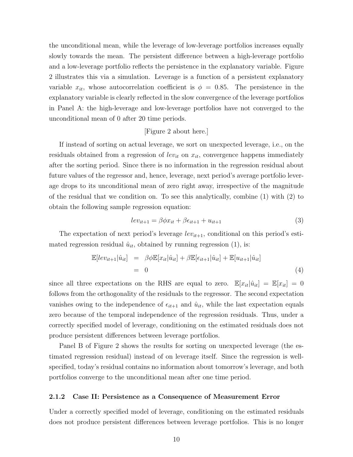the unconditional mean, while the leverage of low-leverage portfolios increases equally slowly towards the mean. The persistent difference between a high-leverage portfolio and a low-leverage portfolio reflects the persistence in the explanatory variable. Figure 2 illustrates this via a simulation. Leverage is a function of a persistent explanatory variable  $x_{it}$ , whose autocorrelation coefficient is  $\phi = 0.85$ . The persistence in the explanatory variable is clearly reflected in the slow convergence of the leverage portfolios in Panel A: the high-leverage and low-leverage portfolios have not converged to the unconditional mean of 0 after 20 time periods.

### [Figure 2 about here.]

If instead of sorting on actual leverage, we sort on unexpected leverage, i.e., on the residuals obtained from a regression of lev<sub>it</sub> on  $x_{it}$ , convergence happens immediately after the sorting period. Since there is no information in the regression residual about future values of the regressor and, hence, leverage, next period's average portfolio leverage drops to its unconditional mean of zero right away, irrespective of the magnitude of the residual that we condition on. To see this analytically, combine (1) with (2) to obtain the following sample regression equation:

$$
lev_{it+1} = \beta \phi x_{it} + \beta \epsilon_{it+1} + u_{it+1}
$$
\n(3)

The expectation of next period's leverage  $lev_{it+1}$ , conditional on this period's estimated regression residual  $\hat{u}_{it}$ , obtained by running regression (1), is:

$$
\mathbb{E}[lev_{it+1}|\hat{u}_{it}] = \beta \phi \mathbb{E}[x_{it}|\hat{u}_{it}] + \beta \mathbb{E}[\epsilon_{it+1}|\hat{u}_{it}] + \mathbb{E}[u_{it+1}|\hat{u}_{it}]
$$
  
= 0 (4)

since all three expectations on the RHS are equal to zero.  $\mathbb{E}[x_{it}|\hat{u}_{it}] = \mathbb{E}[x_{it}] = 0$ follows from the orthogonality of the residuals to the regressor. The second expectation vanishes owing to the independence of  $\epsilon_{it+1}$  and  $\hat{u}_{it}$ , while the last expectation equals zero because of the temporal independence of the regression residuals. Thus, under a correctly specified model of leverage, conditioning on the estimated residuals does not produce persistent differences between leverage portfolios.

Panel B of Figure 2 shows the results for sorting on unexpected leverage (the estimated regression residual) instead of on leverage itself. Since the regression is wellspecified, today's residual contains no information about tomorrow's leverage, and both portfolios converge to the unconditional mean after one time period.

### 2.1.2 Case II: Persistence as a Consequence of Measurement Error

Under a correctly specified model of leverage, conditioning on the estimated residuals does not produce persistent differences between leverage portfolios. This is no longer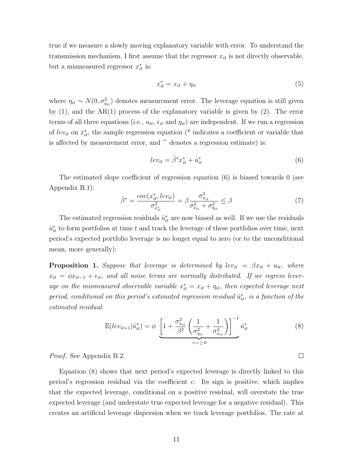true if we measure a slowly moving explanatory variable with error. To understand the transmission mechanism, I first assume that the regressor  $x_{it}$  is not directly observable, but a mismeasured regressor  $x_{it}^*$  is:

$$
x_{it}^* = x_{it} + \eta_{it} \tag{5}
$$

where  $\eta_{it} \sim N(0, \sigma_{\eta_{it}}^2)$  denotes measurement error. The leverage equation is still given by (1), and the AR(1) process of the explanatory variable is given by (2). The error terms of all three equations (i.e.,  $u_{it}$ ,  $\epsilon_{it}$  and  $\eta_{it}$ ) are independent. If we run a regression of lev<sub>it</sub> on  $x_{it}^*$ , the sample regression equation (\* indicates a coefficient or variable that is affected by measurement error, and  $\hat{\ }$  denotes a regression estimate) is:

$$
lev_{it} = \hat{\beta}^* x_{it}^* + \hat{u}_{it}^* \tag{6}
$$

The estimated slope coefficient of regression equation (6) is biased towards 0 (see Appendix B.1):

$$
\hat{\beta}^* = \frac{cov(x_{it}^*, lev_{it})}{\sigma_{x_{it}}^2} = \beta \frac{\sigma_{x_{it}}^2}{\sigma_{x_{it}}^2 + \sigma_{\eta_{it}}^2} \le \beta \tag{7}
$$

The estimated regression residuals  $\hat{u}_{it}^*$  are now biased as well. If we use the residuals  $\hat{u}_{it}^*$  to form portfolios at time t and track the leverage of these portfolios over time, next period's expected portfolio leverage is no longer equal to zero (or to the unconditional mean, more generally):

**Proposition 1.** Suppose that leverage is determined by lev<sub>it</sub> =  $\beta x_{it} + u_{it}$ , where  $x_{it} = \phi x_{it-1} + \epsilon_{it}$ , and all noise terms are normally distributed. If we regress leverage on the mismeasured observable variable  $x_{it}^* = x_{it} + \eta_{it}$ , then expected leverage next period, conditional on this period's estimated regression residual  $\hat{u}_{it}^*$ , is a function of the estimated residual:

$$
\mathbb{E}(lev_{it+1}|\hat{u}_{it}^*) = \phi \underbrace{\left[1 + \frac{\sigma_{u_{it}}^2}{\beta^2} \left(\frac{1}{\sigma_{\eta_{it}}^2} + \frac{1}{\sigma_{x_{it}}^2}\right)\right]^{-1}}_{= c \ge 0} \hat{u}_{it}^* \tag{8}
$$

 $\Box$ 

Proof. See Appendix B.2.

Equation (8) shows that next period's expected leverage is directly linked to this period's regression residual via the coefficient  $c$ . Its sign is positive, which implies that the expected leverage, conditional on a positive residual, will overstate the true expected leverage (and understate true expected leverage for a negative residual). This creates an artificial leverage dispersion when we track leverage portfolios. The rate at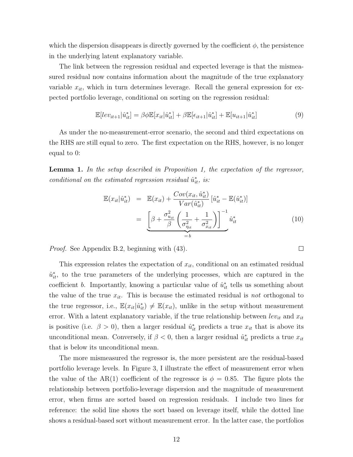which the dispersion disappears is directly governed by the coefficient  $\phi$ , the persistence in the underlying latent explanatory variable.

The link between the regression residual and expected leverage is that the mismeasured residual now contains information about the magnitude of the true explanatory variable  $x_{it}$ , which in turn determines leverage. Recall the general expression for expected portfolio leverage, conditional on sorting on the regression residual:

$$
\mathbb{E}[lev_{it+1}|\hat{u}_{it}^*] = \beta \phi \mathbb{E}[x_{it}|\hat{u}_{it}^*] + \beta \mathbb{E}[\epsilon_{it+1}|\hat{u}_{it}^*] + \mathbb{E}[u_{it+1}|\hat{u}_{it}^*]
$$
(9)

As under the no-measurement-error scenario, the second and third expectations on the RHS are still equal to zero. The first expectation on the RHS, however, is no longer equal to 0:

Lemma 1. In the setup described in Proposition 1, the expectation of the regressor, conditional on the estimated regression residual  $\hat{u}_{it}^*$ , is:

$$
\mathbb{E}(x_{it}|\hat{u}_{it}^*) = \mathbb{E}(x_{it}) + \frac{Cov(x_{it}, \hat{u}_{it}^*)}{Var(\hat{u}_{it}^*)} [\hat{u}_{it}^* - \mathbb{E}(\hat{u}_{it}^*)]
$$
\n
$$
= \underbrace{\left[\beta + \frac{\sigma_{u_{it}}^2}{\beta} \left(\frac{1}{\sigma_{\eta_{it}}^2} + \frac{1}{\sigma_{x_{it}}^2}\right)\right]^{-1}}_{=b} \hat{u}_{it}^* \tag{10}
$$

Proof. See Appendix B.2, beginning with (43).

This expression relates the expectation of  $x_{it}$ , conditional on an estimated residual  $\hat{u}_{it}^*$ , to the true parameters of the underlying processes, which are captured in the coefficient *b*. Importantly, knowing a particular value of  $\hat{u}_{it}^{*}$  tells us something about the value of the true  $x_{it}$ . This is because the estimated residual is not orthogonal to the true regressor, i.e.,  $\mathbb{E}(x_{it}|\hat{u}_{it}^*) \neq \mathbb{E}(x_{it})$ , unlike in the setup without measurement error. With a latent explanatory variable, if the true relationship between  $lev_{it}$  and  $x_{it}$ is positive (i.e.  $\beta > 0$ ), then a larger residual  $\hat{u}_{it}^{*}$  predicts a true  $x_{it}$  that is above its unconditional mean. Conversely, if  $\beta < 0$ , then a larger residual  $\hat{u}_{it}^{*}$  predicts a true  $x_{it}$ that is below its unconditional mean.

The more mismeasured the regressor is, the more persistent are the residual-based portfolio leverage levels. In Figure 3, I illustrate the effect of measurement error when the value of the AR(1) coefficient of the regressor is  $\phi = 0.85$ . The figure plots the relationship between portfolio-leverage dispersion and the magnitude of measurement error, when firms are sorted based on regression residuals. I include two lines for reference: the solid line shows the sort based on leverage itself, while the dotted line shows a residual-based sort without measurement error. In the latter case, the portfolios

 $\Box$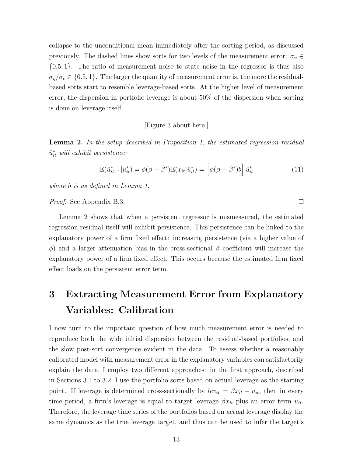collapse to the unconditional mean immediately after the sorting period, as discussed previously. The dashed lines show sorts for two levels of the measurement error:  $\sigma_{\eta} \in$ {0.5, 1}. The ratio of measurement noise to state noise in the regressor is thus also  $\sigma_{\eta}/\sigma_{\epsilon} \in \{0.5, 1\}$ . The larger the quantity of measurement error is, the more the residualbased sorts start to resemble leverage-based sorts. At the higher level of measurement error, the dispersion in portfolio leverage is about 50% of the dispersion when sorting is done on leverage itself.

[Figure 3 about here.]

**Lemma 2.** In the setup described in Proposition 1, the estimated regression residual  $\hat{u}_{it}^*$  will exhibit persistence:

$$
\mathbb{E}(\hat{u}_{it+1}^*|\hat{u}_{it}^*) = \phi(\beta - \hat{\beta}^*)\mathbb{E}(x_{it}|\hat{u}_{it}^*) = \left[\phi(\beta - \hat{\beta}^*)b\right]\hat{u}_{it}^*
$$
(11)

 $\Box$ 

where b is as defined in Lemma 1.

Proof. See Appendix B.3.

Lemma 2 shows that when a persistent regressor is mismeasured, the estimated regression residual itself will exhibit persistence. This persistence can be linked to the explanatory power of a firm fixed effect: increasing persistence (via a higher value of  $φ$ ) and a larger attenuation bias in the cross-sectional β coefficient will increase the explanatory power of a firm fixed effect. This occurs because the estimated firm fixed effect loads on the persistent error term.

# 3 Extracting Measurement Error from Explanatory Variables: Calibration

I now turn to the important question of how much measurement error is needed to reproduce both the wide initial dispersion between the residual-based portfolios, and the slow post-sort convergence evident in the data. To assess whether a reasonably calibrated model with measurement error in the explanatory variables can satisfactorily explain the data, I employ two different approaches: in the first approach, described in Sections 3.1 to 3.2, I use the portfolio sorts based on actual leverage as the starting point. If leverage is determined cross-sectionally by  $lev_{it} = \beta x_{it} + u_{it}$ , then in every time period, a firm's leverage is equal to target leverage  $\beta x_{it}$  plus an error term  $u_{it}$ . Therefore, the leverage time series of the portfolios based on actual leverage display the same dynamics as the true leverage target, and thus can be used to infer the target's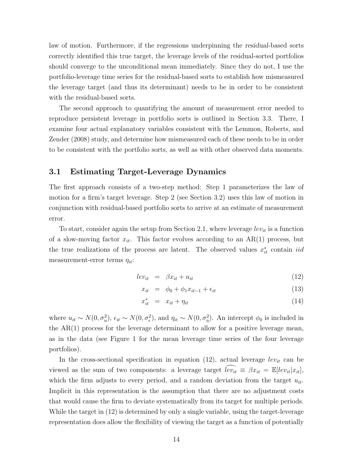law of motion. Furthermore, if the regressions underpinning the residual-based sorts correctly identified this true target, the leverage levels of the residual-sorted portfolios should converge to the unconditional mean immediately. Since they do not, I use the portfolio-leverage time series for the residual-based sorts to establish how mismeasured the leverage target (and thus its determinant) needs to be in order to be consistent with the residual-based sorts.

The second approach to quantifying the amount of measurement error needed to reproduce persistent leverage in portfolio sorts is outlined in Section 3.3. There, I examine four actual explanatory variables consistent with the Lemmon, Roberts, and Zender (2008) study, and determine how mismeasured each of these needs to be in order to be consistent with the portfolio sorts, as well as with other observed data moments.

### 3.1 Estimating Target-Leverage Dynamics

The first approach consists of a two-step method: Step 1 parameterizes the law of motion for a firm's target leverage. Step 2 (see Section 3.2) uses this law of motion in conjunction with residual-based portfolio sorts to arrive at an estimate of measurement error.

To start, consider again the setup from Section 2.1, where leverage  $lev_{it}$  is a function of a slow-moving factor  $x_{it}$ . This factor evolves according to an AR(1) process, but the true realizations of the process are latent. The observed values  $x_{it}^*$  contain iid measurement-error terms  $\eta_{it}$ :

$$
lev_{it} = \beta x_{it} + u_{it} \tag{12}
$$

$$
x_{it} = \phi_0 + \phi_1 x_{it-1} + \epsilon_{it} \tag{13}
$$

$$
x_{it}^* = x_{it} + \eta_{it} \tag{14}
$$

where  $u_{it} \sim N(0, \sigma_u^2)$ ,  $\epsilon_{it} \sim N(0, \sigma_e^2)$ , and  $\eta_{it} \sim N(0, \sigma_\eta^2)$ . An intercept  $\phi_0$  is included in the AR(1) process for the leverage determinant to allow for a positive leverage mean, as in the data (see Figure 1 for the mean leverage time series of the four leverage portfolios).

In the cross-sectional specification in equation (12), actual leverage  $lev_{it}$  can be viewed as the sum of two components: a leverage target  $\widehat{lev_{it}} \equiv \beta x_{it} = \mathbb{E}[lev_{it}|x_{it}],$ which the firm adjusts to every period, and a random deviation from the target  $u_{it}$ . Implicit in this representation is the assumption that there are no adjustment costs that would cause the firm to deviate systematically from its target for multiple periods. While the target in (12) is determined by only a single variable, using the target-leverage representation does allow the flexibility of viewing the target as a function of potentially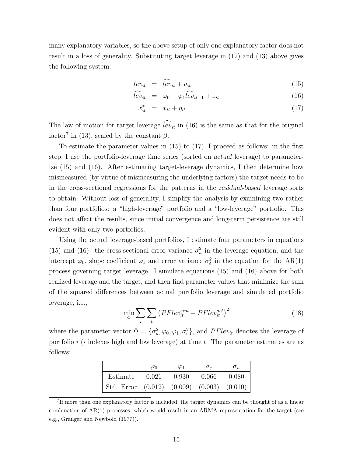many explanatory variables, so the above setup of only one explanatory factor does not result in a loss of generality. Substituting target leverage in (12) and (13) above gives the following system:

$$
lev_{it} = \widehat{lev}_{it} + u_{it} \tag{15}
$$

$$
\hat{lev}_{it} = \varphi_0 + \varphi_1 \hat{lev}_{it-1} + \varepsilon_{it} \tag{16}
$$

$$
x_{it}^* = x_{it} + \eta_{it} \tag{17}
$$

The law of motion for target leverage  $\widehat{lev}_{it}$  in (16) is the same as that for the original factor<sup>7</sup> in (13), scaled by the constant  $\beta$ .

To estimate the parameter values in (15) to (17), I proceed as follows: in the first step, I use the portfolio-leverage time series (sorted on actual leverage) to parameterize (15) and (16). After estimating target-leverage dynamics, I then determine how mismeasured (by virtue of mismeasuring the underlying factors) the target needs to be in the cross-sectional regressions for the patterns in the residual-based leverage sorts to obtain. Without loss of generality, I simplify the analysis by examining two rather than four portfolios: a "high-leverage" portfolio and a "low-leverage" portfolio. This does not affect the results, since initial convergence and long-term persistence are still evident with only two portfolios.

Using the actual leverage-based portfolios, I estimate four parameters in equations (15) and (16): the cross-sectional error variance  $\sigma_u^2$  in the leverage equation, and the intercept  $\varphi_0$ , slope coefficient  $\varphi_1$  and error variance  $\sigma_{\varepsilon}^2$  in the equation for the AR(1) process governing target leverage. I simulate equations (15) and (16) above for both realized leverage and the target, and then find parameter values that minimize the sum of the squared differences between actual portfolio leverage and simulated portfolio leverage, i.e.,

$$
\min_{\Phi} \sum_{i} \sum_{t} \left( PFlev_{it}^{sim} - PFlev_{it}^{act} \right)^{2} \tag{18}
$$

where the parameter vector  $\Phi = {\sigma_u^2, \varphi_0, \varphi_1, \sigma_\varepsilon^2}$ , and  $PFlev_{it}$  denotes the leverage of portfolio  $i$  (i indexes high and low leverage) at time t. The parameter estimates are as follows:

|                                                    | $\varphi_0$ | $\varphi_1$ | $\sigma_{\varepsilon}$ | $\sigma_u$ |
|----------------------------------------------------|-------------|-------------|------------------------|------------|
| Estimate                                           | 0.021       | 0.930       | 0.066                  | 0.080      |
| Std. Error $(0.012)$ $(0.009)$ $(0.003)$ $(0.010)$ |             |             |                        |            |

<sup>&</sup>lt;sup>7</sup>If more than one explanatory factor is included, the target dynamics can be thought of as a linear combination of  $AR(1)$  processes, which would result in an  $ARMA$  representation for the target (see e.g., Granger and Newbold (1977)).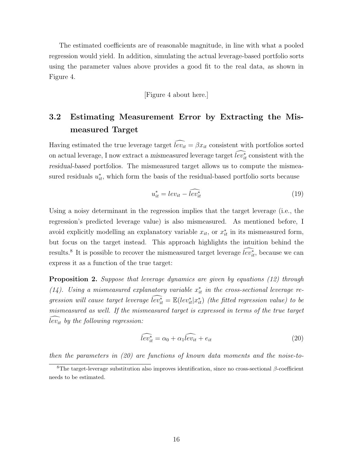The estimated coefficients are of reasonable magnitude, in line with what a pooled regression would yield. In addition, simulating the actual leverage-based portfolio sorts using the parameter values above provides a good fit to the real data, as shown in Figure 4.

[Figure 4 about here.]

# 3.2 Estimating Measurement Error by Extracting the Mismeasured Target

Having estimated the true leverage target  $\widehat{lev_{it}} = \beta x_{it}$  consistent with portfolios sorted on actual leverage, I now extract a mismeasured leverage target  $\overline{lev}_{it}^*$  consistent with the residual-based portfolios. The mismeasured target allows us to compute the mismeasured residuals  $u_{it}^*$ , which form the basis of the residual-based portfolio sorts because

$$
u_{it}^* = lev_{it} - \widetilde{lev_{it}^*}
$$
\n<sup>(19)</sup>

Using a noisy determinant in the regression implies that the target leverage (i.e., the regression's predicted leverage value) is also mismeasured. As mentioned before, I avoid explicitly modelling an explanatory variable  $x_{it}$ , or  $x_{it}^*$  in its mismeasured form, but focus on the target instead. This approach highlights the intuition behind the results.<sup>8</sup> It is possible to recover the mismeasured target leverage  $\tilde{lev}^*_{it}$ , because we can express it as a function of the true target:

**Proposition 2.** Suppose that leverage dynamics are given by equations (12) through (14). Using a mismeasured explanatory variable  $x_{it}^*$  in the cross-sectional leverage regression will cause target leverage  $\widehat{lev_{it}}^* = \mathbb{E}(lev_{it}^*|x_{it}^*)$  (the fitted regression value) to be mismeasured as well. If the mismeasured target is expressed in terms of the true target  $\widetilde{lev_{it}}$  by the following regression:

$$
\widehat{lev_{it}^*} = \alpha_0 + \alpha_1 \widehat{lev_{it}} + e_{it}
$$
\n(20)

then the parameters in (20) are functions of known data moments and the noise-to-

<sup>&</sup>lt;sup>8</sup>The target-leverage substitution also improves identification, since no cross-sectional  $\beta$ -coefficient needs to be estimated.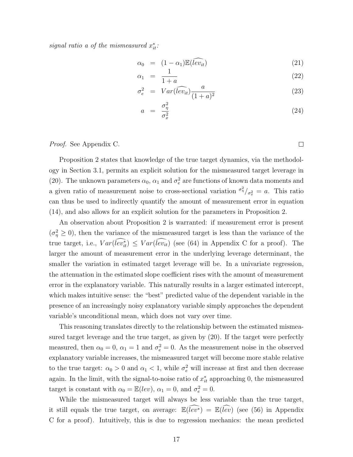signal ratio a of the mismeasured  $x_{it}^*$ :

$$
\alpha_0 = (1 - \alpha_1) \mathbb{E}(\widehat{lev_{it}}) \tag{21}
$$

$$
\alpha_1 = \frac{1}{1+a} \tag{22}
$$

$$
\sigma_e^2 = Var(\widehat{lev_{it}}) \frac{a}{(1+a)^2} \tag{23}
$$

$$
a = \frac{\sigma_{\eta}^2}{\sigma_x^2} \tag{24}
$$

### Proof. See Appendix C.

Proposition 2 states that knowledge of the true target dynamics, via the methodology in Section 3.1, permits an explicit solution for the mismeasured target leverage in (20). The unknown parameters  $\alpha_0$ ,  $\alpha_1$  and  $\sigma_e^2$  are functions of known data moments and a given ratio of measurement noise to cross-sectional variation  $\sigma_{\eta}^2 / \sigma_{x}^2 = a$ . This ratio can thus be used to indirectly quantify the amount of measurement error in equation (14), and also allows for an explicit solution for the parameters in Proposition 2.

An observation about Proposition 2 is warranted: if measurement error is present  $(\sigma_{\eta}^2 \geq 0)$ , then the variance of the mismeasured target is less than the variance of the true target, i.e.,  $Var(\overline{lev}_{it}^*) \leq Var(\overline{lev}_{it})$  (see (64) in Appendix C for a proof). The larger the amount of measurement error in the underlying leverage determinant, the smaller the variation in estimated target leverage will be. In a univariate regression, the attenuation in the estimated slope coefficient rises with the amount of measurement error in the explanatory variable. This naturally results in a larger estimated intercept, which makes intuitive sense: the "best" predicted value of the dependent variable in the presence of an increasingly noisy explanatory variable simply approaches the dependent variable's unconditional mean, which does not vary over time.

This reasoning translates directly to the relationship between the estimated mismeasured target leverage and the true target, as given by (20). If the target were perfectly measured, then  $\alpha_0 = 0$ ,  $\alpha_1 = 1$  and  $\sigma_e^2 = 0$ . As the measurement noise in the observed explanatory variable increases, the mismeasured target will become more stable relative to the true target:  $\alpha_0 > 0$  and  $\alpha_1 < 1$ , while  $\sigma_e^2$  will increase at first and then decrease again. In the limit, with the signal-to-noise ratio of  $x_{it}^*$  approaching 0, the mismeasured target is constant with  $\alpha_0 = \mathbb{E}(lev)$ ,  $\alpha_1 = 0$ , and  $\sigma_e^2 = 0$ .

While the mismeasured target will always be less variable than the true target, it still equals the true target, on average:  $\mathbb{E}(\widehat{lev}^*) = \mathbb{E}(\widehat{lev})$  (see (56) in Appendix C for a proof). Intuitively, this is due to regression mechanics: the mean predicted

 $\Box$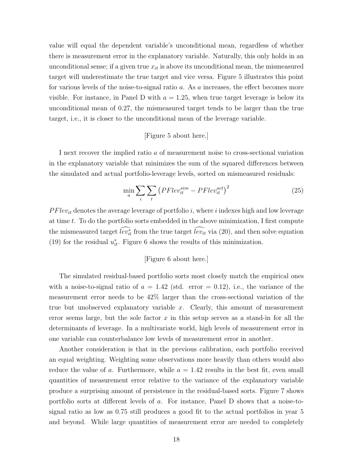value will equal the dependent variable's unconditional mean, regardless of whether there is measurement error in the explanatory variable. Naturally, this only holds in an unconditional sense; if a given true  $x_{it}$  is above its unconditional mean, the mismeasured target will underestimate the true target and vice versa. Figure 5 illustrates this point for various levels of the noise-to-signal ratio a. As a increases, the effect becomes more visible. For instance, in Panel D with  $a = 1.25$ , when true target leverage is below its unconditional mean of 0.27, the mismeasured target tends to be larger than the true target, i.e., it is closer to the unconditional mean of the leverage variable.

### [Figure 5 about here.]

I next recover the implied ratio a of measurement noise to cross-sectional variation in the explanatory variable that minimizes the sum of the squared differences between the simulated and actual portfolio-leverage levels, sorted on mismeasured residuals:

$$
\min_{a} \sum_{i} \sum_{t} \left( PFlev_{it}^{sim} - PFlev_{it}^{act} \right)^{2} \tag{25}
$$

 $P Flev_{it}$  denotes the average leverage of portfolio i, where i indexes high and low leverage at time t. To do the portfolio sorts embedded in the above minimization, I first compute the mismeasured target  $\overline{lev_{it}^*}$  from the true target  $\overline{lev_{it}}$  via (20), and then solve equation (19) for the residual  $u_{it}^*$ . Figure 6 shows the results of this minimization.

### [Figure 6 about here.]

The simulated residual-based portfolio sorts most closely match the empirical ones with a noise-to-signal ratio of  $a = 1.42$  (std. error = 0.12), i.e., the variance of the measurement error needs to be 42% larger than the cross-sectional variation of the true but unobserved explanatory variable  $x$ . Clearly, this amount of measurement error seems large, but the sole factor  $x$  in this setup serves as a stand-in for all the determinants of leverage. In a multivariate world, high levels of measurement error in one variable can counterbalance low levels of measurement error in another.

Another consideration is that in the previous calibration, each portfolio received an equal weighting. Weighting some observations more heavily than others would also reduce the value of a. Furthermore, while  $a = 1.42$  results in the best fit, even small quantities of measurement error relative to the variance of the explanatory variable produce a surprising amount of persistence in the residual-based sorts. Figure 7 shows portfolio sorts at different levels of a. For instance, Panel D shows that a noise-tosignal ratio as low as 0.75 still produces a good fit to the actual portfolios in year 5 and beyond. While large quantities of measurement error are needed to completely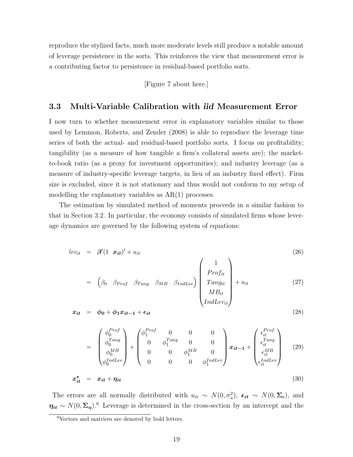reproduce the stylized facts, much more moderate levels still produce a notable amount of leverage persistence in the sorts. This reinforces the view that measurement error is a contributing factor to persistence in residual-based portfolio sorts.

[Figure 7 about here.]

### 3.3 Multi-Variable Calibration with iid Measurement Error

I now turn to whether measurement error in explanatory variables similar to those used by Lemmon, Roberts, and Zender (2008) is able to reproduce the leverage time series of both the actual- and residual-based portfolio sorts. I focus on profitability; tangibility (as a measure of how tangible a firm's collateral assets are); the marketto-book ratio (as a proxy for investment opportunities); and industry leverage (as a measure of industry-specific leverage targets, in lieu of an industry fixed effect). Firm size is excluded, since it is not stationary and thus would not conform to my setup of modelling the explanatory variables as AR(1) processes.

The estimation by simulated method of moments proceeds in a similar fashion to that in Section 3.2. In particular, the economy consists of simulated firms whose leverage dynamics are governed by the following system of equations:

$$
lev_{it} = \beta'(1 \mathbf{x}_{it})' + u_{it} \tag{26}
$$

$$
= \left(\beta_0 \quad \beta_{Prof} \quad \beta_{Tang} \quad \beta_{MB} \quad \beta_{IndLev}\right) \left(\begin{array}{c} 1 \\ Prof_{it} \\ Tangit \\ MB_{it} \\ IndLev_{it} \end{array}\right) + u_{it} \tag{27}
$$

 $\sim$   $\sim$ 

$$
x_{it} = \phi_0 + \phi_1 x_{it-1} + \epsilon_{it} \tag{28}
$$

$$
= \begin{pmatrix} \phi_0^{Prof} \\ \phi_0^{Tang} \\ \phi_0^{MB} \\ \phi_0^{IndLev} \end{pmatrix} + \begin{pmatrix} \phi_1^{Prof} & 0 & 0 & 0 \\ 0 & \phi_1^{Tang} & 0 & 0 \\ 0 & 0 & \phi_1^{MB} & 0 \\ 0 & 0 & 0 & \phi_1^{IndLev} \end{pmatrix} x_{it-1} + \begin{pmatrix} \epsilon_{it}^{Prof} \\ \epsilon_{it}^{Tang} \\ \epsilon_{it}^{MB} \\ \epsilon_{it}^{IndLev} \end{pmatrix}
$$
(29)

$$
x_{it}^* = x_{it} + \eta_{it} \tag{30}
$$

The errors are all normally distributed with  $u_{it} \sim N(0, \sigma_u^2)$ ,  $\epsilon_{it} \sim N(0, \Sigma_{\epsilon})$ , and  $\eta_{it} \sim N(0, \Sigma_{\eta})$ .<sup>9</sup> Leverage is determined in the cross-section by an intercept and the

<sup>9</sup>Vectors and matrices are denoted by bold letters.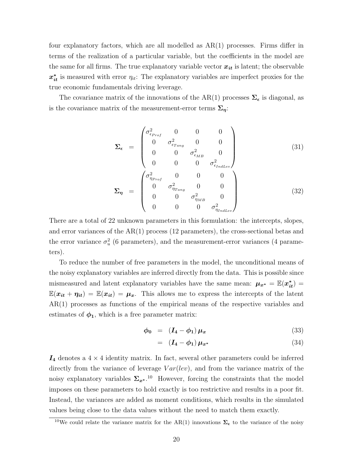four explanatory factors, which are all modelled as  $AR(1)$  processes. Firms differ in terms of the realization of a particular variable, but the coefficients in the model are the same for all firms. The true explanatory variable vector  $x_{it}$  is latent; the observable  $x_{it}^*$  is measured with error  $\eta_{it}$ : The explanatory variables are imperfect proxies for the true economic fundamentals driving leverage.

The covariance matrix of the innovations of the AR(1) processes  $\Sigma_{\epsilon}$  is diagonal, as is the covariance matrix of the measurement-error terms  $\Sigma_{\eta}$ :

$$
\Sigma_{\epsilon} = \begin{pmatrix}\n\sigma_{\epsilon_{Proj}}^{2} & 0 & 0 & 0 \\
0 & \sigma_{\epsilon_{Tang}}^{2} & 0 & 0 \\
0 & 0 & \sigma_{\epsilon_{MB}}^{2} & 0 \\
0 & 0 & 0 & \sigma_{\epsilon_{IndLev}}^{2}\n\end{pmatrix}
$$
\n
$$
\Sigma_{\eta} = \begin{pmatrix}\n\sigma_{\eta_{Proj}}^{2} & 0 & 0 & 0 \\
0 & \sigma_{\eta_{Tang}}^{2} & 0 & 0 \\
0 & 0 & \sigma_{\eta_{MB}}^{2} & 0 \\
0 & 0 & 0 & \sigma_{\eta_{IndLev}}^{2}\n\end{pmatrix}
$$
\n(32)

There are a total of 22 unknown parameters in this formulation: the intercepts, slopes, and error variances of the  $AR(1)$  process (12 parameters), the cross-sectional betas and the error variance  $\sigma_u^2$  (6 parameters), and the measurement-error variances (4 parameters).

To reduce the number of free parameters in the model, the unconditional means of the noisy explanatory variables are inferred directly from the data. This is possible since mismeasured and latent explanatory variables have the same mean:  $\mu_{x^*} = \mathbb{E}(x_{it}^*)$  $\mathbb{E}(\mathbf{x}_{it} + \eta_{it}) = \mathbb{E}(\mathbf{x}_{it}) = \mu_{\mathbf{x}}$ . This allows me to express the intercepts of the latent AR(1) processes as functions of the empirical means of the respective variables and estimates of  $\phi_1$ , which is a free parameter matrix:

$$
\phi_0 = (I_4 - \phi_1) \mu_x \tag{33}
$$

$$
= (I_4 - \phi_1) \mu_{x^*} \tag{34}
$$

 $I_4$  denotes a  $4 \times 4$  identity matrix. In fact, several other parameters could be inferred directly from the variance of leverage  $Var(lev)$ , and from the variance matrix of the noisy explanatory variables  $\Sigma_{x^*}$ .<sup>10</sup> However, forcing the constraints that the model imposes on these parameters to hold exactly is too restrictive and results in a poor fit. Instead, the variances are added as moment conditions, which results in the simulated values being close to the data values without the need to match them exactly.

<sup>&</sup>lt;sup>10</sup>We could relate the variance matrix for the AR(1) innovations  $\Sigma_{\epsilon}$  to the variance of the noisy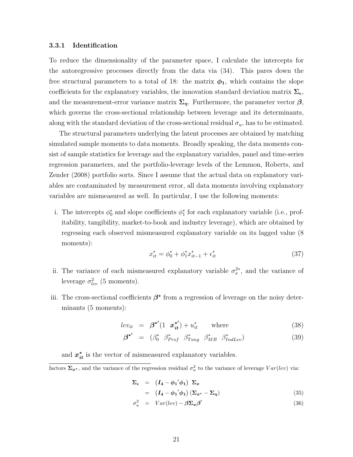#### 3.3.1 Identification

To reduce the dimensionality of the parameter space, I calculate the intercepts for the autoregressive processes directly from the data via (34). This pares down the free structural parameters to a total of 18: the matrix  $\phi_1$ , which contains the slope coefficients for the explanatory variables, the innovation standard deviation matrix  $\Sigma_{\epsilon}$ , and the measurement-error variance matrix  $\Sigma_n$ . Furthermore, the parameter vector  $\beta$ , which governs the cross-sectional relationship between leverage and its determinants, along with the standard deviation of the cross-sectional residual  $\sigma_u$ , has to be estimated.

The structural parameters underlying the latent processes are obtained by matching simulated sample moments to data moments. Broadly speaking, the data moments consist of sample statistics for leverage and the explanatory variables, panel and time-series regression parameters, and the portfolio-leverage levels of the Lemmon, Roberts, and Zender (2008) portfolio sorts. Since I assume that the actual data on explanatory variables are contaminated by measurement error, all data moments involving explanatory variables are mismeasured as well. In particular, I use the following moments:

i. The intercepts  $\phi_0^*$  and slope coefficients  $\phi_1^*$  for each explanatory variable (i.e., profitability, tangibility, market-to-book and industry leverage), which are obtained by regressing each observed mismeasured explanatory variable on its lagged value (8 moments):

$$
x_{it}^* = \phi_0^* + \phi_1^* x_{it-1}^* + \epsilon_{it}^* \tag{37}
$$

- ii. The variance of each mismeasured explanatory variable  $\sigma_x^{2*}$ , and the variance of leverage  $\sigma_{lev}^2$  (5 moments).
- iii. The cross-sectional coefficients  $\beta^*$  from a regression of leverage on the noisy determinants (5 moments):

$$
lev_{it} = \beta^{*'} (1 \ \mathbf{x}_{it}^{*'}) + u_{it}^{*} \qquad \text{where} \qquad (38)
$$

$$
\beta^{\ast'} = (\beta_0^* \ \beta_{Prof}^* \ \beta_{Tang}^* \ \beta_{MB}^* \ \beta_{IndLev}^* ) \tag{39}
$$

and  $x_{it}^*$  is the vector of mismeasured explanatory variables.

factors  $\Sigma_{x^*}$ , and the variance of the regression residual  $\sigma_u^2$  to the variance of leverage  $Var(lev)$  via:

$$
\Sigma_{\epsilon} = (I_4 - \phi_1' \phi_1) \Sigma_x
$$
  
=  $(I_4 - \phi_1' \phi_1) (\Sigma_{x^*} - \Sigma_{\eta})$  (35)

$$
\sigma_u^2 = Var(lev) - \beta \Sigma_x \beta' \tag{36}
$$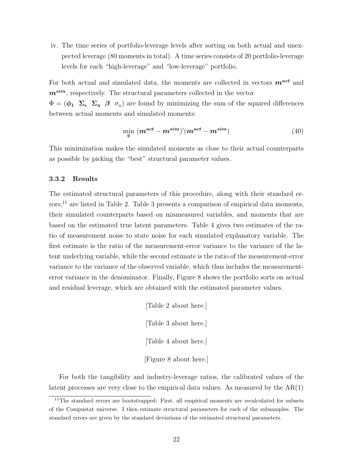iv. The time series of portfolio-leverage levels after sorting on both actual and unexpected leverage (80 moments in total). A time series consists of 20 portfolio-leverage levels for each "high-leverage" and "low-leverage" portfolio.

For both actual and simulated data, the moments are collected in vectors  $\mathbf{m}^{\textit{act}}$  and  $m^{sim}$ , respectively. The structural parameters collected in the vector

 $\Phi = (\phi_1 \Sigma_{\epsilon} \Sigma_{\eta} \beta \sigma_u)$  are found by minimizing the sum of the squared differences between actual moments and simulated moments:

$$
\min_{\Phi} \left( \mathbf{m}^{\mathbf{act}} - \mathbf{m}^{\mathbf{sim}} \right)' (\mathbf{m}^{\mathbf{act}} - \mathbf{m}^{\mathbf{sim}}) \tag{40}
$$

This minimization makes the simulated moments as close to their actual counterparts as possible by picking the "best" structural parameter values.

### 3.3.2 Results

The estimated structural parameters of this procedure, along with their standard errors,<sup>11</sup> are listed in Table 2. Table 3 presents a comparison of empirical data moments, their simulated counterparts based on mismeasured variables, and moments that are based on the estimated true latent parameters. Table 4 gives two estimates of the ratio of measurement noise to state noise for each simulated explanatory variable. The first estimate is the ratio of the measurement-error variance to the variance of the latent underlying variable, while the second estimate is the ratio of the measurement-error variance to the variance of the observed variable, which thus includes the measurementerror variance in the denominator. Finally, Figure 8 shows the portfolio sorts on actual and residual leverage, which are obtained with the estimated parameter values.

> [Table 2 about here.] [Table 3 about here.] [Table 4 about here.] [Figure 8 about here.]

For both the tangibility and industry-leverage ratios, the calibrated values of the latent processes are very close to the empirical data values. As measured by the AR(1)

<sup>&</sup>lt;sup>11</sup>The standard errors are bootstrapped: First, all empirical moments are recalculated for subsets of the Compustat universe. I then estimate structural parameters for each of the subsamples. The standard errors are given by the standard deviations of the estimated structural parameters.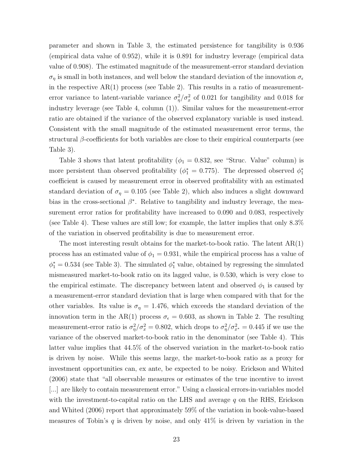parameter and shown in Table 3, the estimated persistence for tangibility is 0.936 (empirical data value of 0.952), while it is 0.891 for industry leverage (empirical data value of 0.908). The estimated magnitude of the measurement-error standard deviation  $\sigma_{\eta}$  is small in both instances, and well below the standard deviation of the innovation  $\sigma_{\epsilon}$ in the respective  $AR(1)$  process (see Table 2). This results in a ratio of measurementerror variance to latent-variable variance  $\sigma_{\eta}^2/\sigma_x^2$  of 0.021 for tangibility and 0.018 for industry leverage (see Table 4, column (1)). Similar values for the measurement-error ratio are obtained if the variance of the observed explanatory variable is used instead. Consistent with the small magnitude of the estimated measurement error terms, the structural  $\beta$ -coefficients for both variables are close to their empirical counterparts (see Table 3).

Table 3 shows that latent profitability ( $\phi_1 = 0.832$ , see "Struc. Value" column) is more persistent than observed profitability ( $\phi_1^* = 0.775$ ). The depressed observed  $\phi_1^*$ coefficient is caused by measurement error in observed profitability with an estimated standard deviation of  $\sigma_{\eta} = 0.105$  (see Table 2), which also induces a slight downward bias in the cross-sectional  $\beta^*$ . Relative to tangibility and industry leverage, the measurement error ratios for profitability have increased to 0.090 and 0.083, respectively (see Table 4). These values are still low; for example, the latter implies that only 8.3% of the variation in observed profitability is due to measurement error.

The most interesting result obtains for the market-to-book ratio. The latent  $AR(1)$ process has an estimated value of  $\phi_1 = 0.931$ , while the empirical process has a value of  $\phi_1^* = 0.534$  (see Table 3). The simulated  $\phi_1^*$  value, obtained by regressing the simulated mismeasured market-to-book ratio on its lagged value, is 0.530, which is very close to the empirical estimate. The discrepancy between latent and observed  $\phi_1$  is caused by a measurement-error standard deviation that is large when compared with that for the other variables. Its value is  $\sigma_{\eta} = 1.476$ , which exceeds the standard deviation of the innovation term in the AR(1) process  $\sigma_{\epsilon} = 0.603$ , as shown in Table 2. The resulting measurement-error ratio is  $\sigma_{\eta}^2/\sigma_x^2 = 0.802$ , which drops to  $\sigma_{\eta}^2/\sigma_{x^*}^2 = 0.445$  if we use the variance of the observed market-to-book ratio in the denominator (see Table 4). This latter value implies that 44.5% of the observed variation in the market-to-book ratio is driven by noise. While this seems large, the market-to-book ratio as a proxy for investment opportunities can, ex ante, be expected to be noisy. Erickson and Whited (2006) state that "all observable measures or estimates of the true incentive to invest [...] are likely to contain measurement error." Using a classical errors-in-variables model with the investment-to-capital ratio on the LHS and average  $q$  on the RHS, Erickson and Whited (2006) report that approximately 59% of the variation in book-value-based measures of Tobin's  $q$  is driven by noise, and only  $41\%$  is driven by variation in the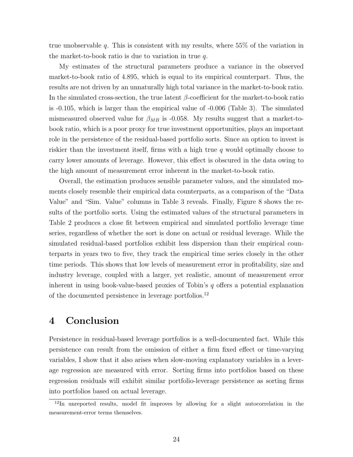true unobservable q. This is consistent with my results, where  $55\%$  of the variation in the market-to-book ratio is due to variation in true  $q$ .

My estimates of the structural parameters produce a variance in the observed market-to-book ratio of 4.895, which is equal to its empirical counterpart. Thus, the results are not driven by an unnaturally high total variance in the market-to-book ratio. In the simulated cross-section, the true latent  $\beta$ -coefficient for the market-to-book ratio is -0.105, which is larger than the empirical value of -0.006 (Table 3). The simulated mismeasured observed value for  $\beta_{MB}$  is -0.058. My results suggest that a market-tobook ratio, which is a poor proxy for true investment opportunities, plays an important role in the persistence of the residual-based portfolio sorts. Since an option to invest is riskier than the investment itself, firms with a high true  $q$  would optimally choose to carry lower amounts of leverage. However, this effect is obscured in the data owing to the high amount of measurement error inherent in the market-to-book ratio.

Overall, the estimation produces sensible parameter values, and the simulated moments closely resemble their empirical data counterparts, as a comparison of the "Data Value" and "Sim. Value" columns in Table 3 reveals. Finally, Figure 8 shows the results of the portfolio sorts. Using the estimated values of the structural parameters in Table 2 produces a close fit between empirical and simulated portfolio leverage time series, regardless of whether the sort is done on actual or residual leverage. While the simulated residual-based portfolios exhibit less dispersion than their empirical counterparts in years two to five, they track the empirical time series closely in the other time periods. This shows that low levels of measurement error in profitability, size and industry leverage, coupled with a larger, yet realistic, amount of measurement error inherent in using book-value-based proxies of Tobin's  $q$  offers a potential explanation of the documented persistence in leverage portfolios.<sup>12</sup>

# 4 Conclusion

Persistence in residual-based leverage portfolios is a well-documented fact. While this persistence can result from the omission of either a firm fixed effect or time-varying variables, I show that it also arises when slow-moving explanatory variables in a leverage regression are measured with error. Sorting firms into portfolios based on these regression residuals will exhibit similar portfolio-leverage persistence as sorting firms into portfolios based on actual leverage.

<sup>12</sup>In unreported results, model fit improves by allowing for a slight autocorrelation in the measurement-error terms themselves.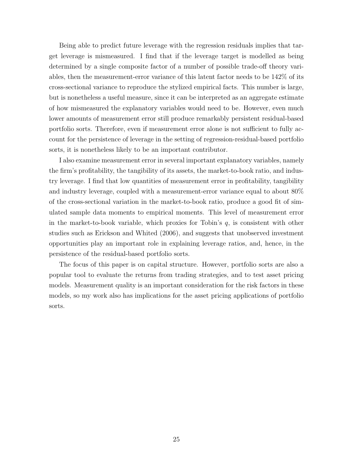Being able to predict future leverage with the regression residuals implies that target leverage is mismeasured. I find that if the leverage target is modelled as being determined by a single composite factor of a number of possible trade-off theory variables, then the measurement-error variance of this latent factor needs to be 142% of its cross-sectional variance to reproduce the stylized empirical facts. This number is large, but is nonetheless a useful measure, since it can be interpreted as an aggregate estimate of how mismeasured the explanatory variables would need to be. However, even much lower amounts of measurement error still produce remarkably persistent residual-based portfolio sorts. Therefore, even if measurement error alone is not sufficient to fully account for the persistence of leverage in the setting of regression-residual-based portfolio sorts, it is nonetheless likely to be an important contributor.

I also examine measurement error in several important explanatory variables, namely the firm's profitability, the tangibility of its assets, the market-to-book ratio, and industry leverage. I find that low quantities of measurement error in profitability, tangibility and industry leverage, coupled with a measurement-error variance equal to about 80% of the cross-sectional variation in the market-to-book ratio, produce a good fit of simulated sample data moments to empirical moments. This level of measurement error in the market-to-book variable, which proxies for Tobin's  $q$ , is consistent with other studies such as Erickson and Whited (2006), and suggests that unobserved investment opportunities play an important role in explaining leverage ratios, and, hence, in the persistence of the residual-based portfolio sorts.

The focus of this paper is on capital structure. However, portfolio sorts are also a popular tool to evaluate the returns from trading strategies, and to test asset pricing models. Measurement quality is an important consideration for the risk factors in these models, so my work also has implications for the asset pricing applications of portfolio sorts.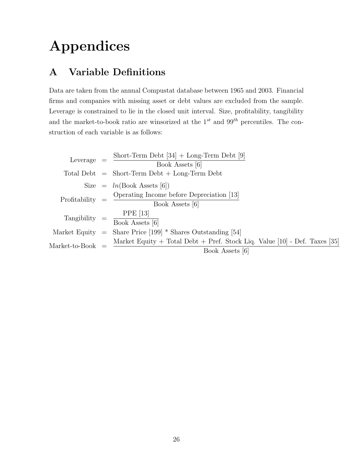# Appendices

# A Variable Definitions

Data are taken from the annual Compustat database between 1965 and 2003. Financial firms and companies with missing asset or debt values are excluded from the sample. Leverage is constrained to lie in the closed unit interval. Size, profitability, tangibility and the market-to-book ratio are winsorized at the  $1^{st}$  and  $99^{th}$  percentiles. The construction of each variable is as follows:

Leverage = 
$$
\frac{\text{Short-Term Debt [34] + Long-Term Debt [9]}}{\text{Book Assets [6]}}
$$

\nTotal Debt = Short-Term Debt + Long-Term Debt

\nSize =  $ln(\text{Book Assets [6]})$ 

\nProfitability =  $\frac{\text{Operating Income before Depreciation [13]}}{\text{Book Assets [6]}}$ 

\nTangibility =  $\frac{\text{PPE [13]}}{\text{Book Assets [6]}}$ 

\nMarket Equity =  $\frac{\text{Share Price [199] * Shares Outstanding [54]}}{\text{Book Asset System of 199 + S} + \text{There. Stock Lie, Value [10] - Def. Taxes [35]}}$ 

\nMarket-to-Book =  $\frac{\text{Market Equity + Total Debt + Pref. Stock Lie, Value [10] - Def. Taxes [35]}}{\text{Book Assets [6]}}$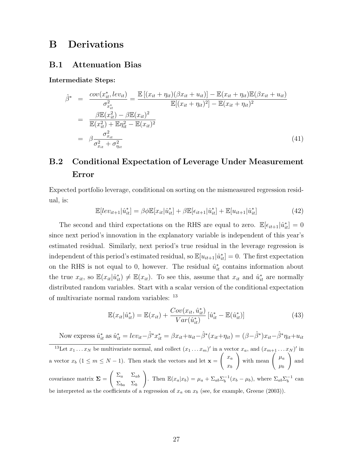## B Derivations

### B.1 Attenuation Bias

Intermediate Steps:

$$
\hat{\beta}^* = \frac{\text{cov}(x_{it}^*, lev_{it})}{\sigma_{x_{it}}^2} = \frac{\mathbb{E}[(x_{it} + \eta_{it})(\beta x_{it} + u_{it})] - \mathbb{E}(x_{it} + \eta_{it})\mathbb{E}(\beta x_{it} + u_{it})}{\mathbb{E}[(x_{it} + \eta_{it})^2] - \mathbb{E}(x_{it} + \eta_{it})^2}
$$
\n
$$
= \frac{\beta \mathbb{E}(x_{it}^2) - \beta \mathbb{E}(x_{it})^2}{\mathbb{E}(x_{it}^2) + \mathbb{E}\eta_{it}^2 - \mathbb{E}(x_{it})^2}
$$
\n
$$
= \beta \frac{\sigma_{x_{it}}^2}{\sigma_{x_{it}}^2 + \sigma_{\eta_{it}}^2}
$$
\n(41)

# B.2 Conditional Expectation of Leverage Under Measurement Error

Expected portfolio leverage, conditional on sorting on the mismeasured regression residual, is:

$$
\mathbb{E}[lev_{it+1}|\hat{u}_{it}^*] = \beta \phi \mathbb{E}[x_{it}|\hat{u}_{it}^*] + \beta \mathbb{E}[\epsilon_{it+1}|\hat{u}_{it}^*] + \mathbb{E}[u_{it+1}|\hat{u}_{it}^*]
$$
(42)

The second and third expectations on the RHS are equal to zero.  $\mathbb{E}[\epsilon_{it+1}|\hat{u}^*_{it}] = 0$ since next period's innovation in the explanatory variable is independent of this year's estimated residual. Similarly, next period's true residual in the leverage regression is independent of this period's estimated residual, so  $\mathbb{E}[u_{it+1}|\hat{u}_{it}^*]=0$ . The first expectation on the RHS is not equal to 0, however. The residual  $\hat{u}_{it}^*$  contains information about the true  $x_{it}$ , so  $\mathbb{E}(x_{it}|\hat{u}_{it}^*) \neq \mathbb{E}(x_{it})$ . To see this, assume that  $x_{it}$  and  $\hat{u}_{it}^*$  are normally distributed random variables. Start with a scalar version of the conditional expectation of multivariate normal random variables: <sup>13</sup>

$$
\mathbb{E}(x_{it}|\hat{u}_{it}^*) = \mathbb{E}(x_{it}) + \frac{Cov(x_{it}, \hat{u}_{it}^*)}{Var(\hat{u}_{it}^*)} [\hat{u}_{it}^* - \mathbb{E}(\hat{u}_{it}^*)]
$$
(43)

Now express  $\hat{u}_{it}^*$  as  $\hat{u}_{it}^* = lev_{it} - \hat{\beta}^* x_{it}^* = \beta x_{it} + u_{it} - \hat{\beta}^* (x_{it} + \eta_{it}) = (\beta - \hat{\beta}^*) x_{it} - \hat{\beta}^* \eta_{it} + u_{it}$ <sup>13</sup>Let  $x_1 \ldots x_N$  be multivariate normal, and collect  $(x_1 \ldots x_m)'$  in a vector  $x_a$ , and  $(x_{m+1} \ldots x_N)'$  in a vector  $x_b$  (1  $\leq$   $m \leq N-1$ ). Then stack the vectors and let  $\mathbf{x} =$  $\int x_a$  $x_b$ with mean  $\mu_a$  $\mu_b$  $\setminus$ and covariance matrix  $\Sigma =$  $\Big(\begin{array}{cc} \Sigma_a & \Sigma_{ab} \end{array}$  $\Sigma_{ba}$   $\Sigma_b$ ). Then  $\mathbb{E}(x_a|x_b) = \mu_a + \Sigma_{ab} \Sigma_b^{-1} (x_b - \mu_b)$ , where  $\Sigma_{ab} \Sigma_b^{-1}$  can be interpreted as the coefficients of a regression of  $x_a$  on  $x_b$  (see, for example, Greene (2003)).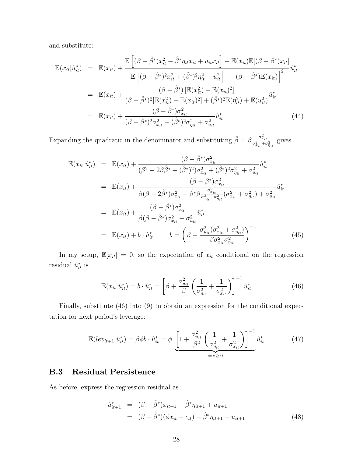and substitute:

$$
\mathbb{E}(x_{it}|\hat{u}_{it}^{*}) = \mathbb{E}(x_{it}) + \frac{\mathbb{E}\left[ (\beta - \hat{\beta}^{*})x_{it}^{2} - \hat{\beta}^{*}\eta_{it}x_{it} + u_{it}x_{it} \right] - \mathbb{E}(x_{it})\mathbb{E}[(\beta - \hat{\beta}^{*})x_{it}]}{\mathbb{E}\left[ (\beta - \hat{\beta}^{*})^{2}x_{it}^{2} + (\hat{\beta}^{*})^{2}\eta_{it}^{2} + u_{it}^{2} \right] - \left[ (\beta - \hat{\beta}^{*})\mathbb{E}(x_{it}) \right]^{2}} \hat{u}_{it}^{*}
$$
\n
$$
= \mathbb{E}(x_{it}) + \frac{(\beta - \hat{\beta}^{*})\left[\mathbb{E}(x_{it}^{2}) - \mathbb{E}(x_{it})^{2}\right]}{(\beta - \hat{\beta}^{*})^{2}\left[\mathbb{E}(x_{it}^{2}) - \mathbb{E}(x_{it})^{2}\right] + (\hat{\beta}^{*})^{2}\mathbb{E}(\eta_{it}^{2}) + \mathbb{E}(u_{it}^{2})} \hat{u}_{it}^{*}
$$
\n
$$
= \mathbb{E}(x_{it}) + \frac{(\beta - \hat{\beta}^{*})\sigma_{x_{it}}^{2}}{(\beta - \hat{\beta}^{*})^{2}\sigma_{x_{it}}^{2} + (\hat{\beta}^{*})^{2}\sigma_{\eta_{it}}^{2} + \sigma_{u_{it}}^{2}} \hat{u}_{it}^{*}
$$
\n(44)

Expanding the quadratic in the denominator and substituting  $\hat{\beta} = \beta \frac{\sigma_{x_{it}}^2}{\sigma_{x_{it}}^2 + \sigma_{y_{it}}^2}$  gives

$$
\mathbb{E}(x_{it}|\hat{u}_{it}^{*}) = \mathbb{E}(x_{it}) + \frac{(\beta - \hat{\beta}^{*})\sigma_{x_{it}}^{2}}{(\beta^{2} - 2\beta\hat{\beta}^{*} + (\hat{\beta}^{*})^{2})\sigma_{x_{it}}^{2} + (\hat{\beta}^{*})^{2}\sigma_{\eta_{it}}^{2} + \sigma_{u_{it}}^{2}} \hat{u}_{it}^{*}
$$
\n
$$
= \mathbb{E}(x_{it}) + \frac{(\beta - \hat{\beta}^{*})\sigma_{x_{it}}^{2}}{\beta(\beta - 2\hat{\beta}^{*})\sigma_{x_{it}}^{2} + \hat{\beta}^{*}\beta\frac{\sigma_{x_{it}}^{2}}{\sigma_{x_{it}}^{2} + \sigma_{\eta_{it}}^{2}}(\sigma_{x_{it}}^{2} + \sigma_{\eta_{it}}^{2}) + \sigma_{u_{it}}^{2}} \hat{u}_{it}^{*}
$$
\n
$$
= \mathbb{E}(x_{it}) + \frac{(\beta - \hat{\beta}^{*})\sigma_{x_{it}}^{2}}{\beta(\beta - \hat{\beta}^{*})\sigma_{x_{it}}^{2} + \sigma_{u_{it}}^{2}} \hat{u}_{it}^{*}
$$
\n
$$
= \mathbb{E}(x_{it}) + b \cdot \hat{u}_{it}^{*}; \qquad b = \left(\beta + \frac{\sigma_{u_{it}}^{2}(\sigma_{x_{it}}^{2} + \sigma_{\eta_{it}}^{2})}{\beta\sigma_{x_{it}}^{2}\sigma_{\eta_{it}}^{2}}\right)^{-1}
$$
\n(45)

In my setup,  $\mathbb{E}[x_{it}] = 0$ , so the expectation of  $x_{it}$  conditional on the regression residual  $\hat{u}_{it}^*$  is

$$
\mathbb{E}(x_{it}|\hat{u}_{it}^*) = b \cdot \hat{u}_{it}^* = \left[\beta + \frac{\sigma_{u_{it}}^2}{\beta} \left(\frac{1}{\sigma_{\eta_{it}}^2} + \frac{1}{\sigma_{x_{it}}^2}\right)\right]^{-1} \hat{u}_{it}^* \tag{46}
$$

Finally, substitute (46) into (9) to obtain an expression for the conditional expectation for next period's leverage:

$$
\mathbb{E}(lev_{it+1}|\hat{u}_{it}^*) = \beta \phi b \cdot \hat{u}_{it}^* = \phi \underbrace{\left[1 + \frac{\sigma_{u_{it}}^2}{\beta^2} \left(\frac{1}{\sigma_{\eta_{it}}^2} + \frac{1}{\sigma_{x_{it}}^2}\right)\right]^{-1}}_{=c \ge 0} \hat{u}_{it}^* \tag{47}
$$

### B.3 Residual Persistence

As before, express the regression residual as

$$
\hat{u}_{it+1}^* = (\beta - \hat{\beta}^*)x_{it+1} - \hat{\beta}^* \eta_{it+1} + u_{it+1} \n= (\beta - \hat{\beta}^*)(\phi x_{it} + \epsilon_{it}) - \hat{\beta}^* \eta_{it+1} + u_{it+1}
$$
\n(48)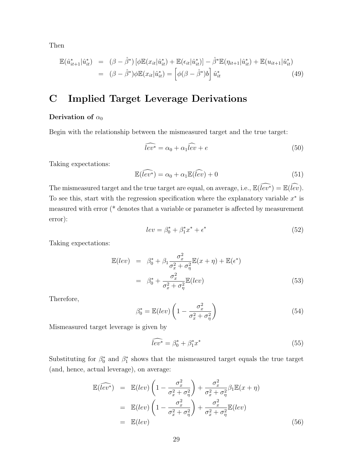Then

$$
\mathbb{E}(\hat{u}_{it+1}^*|\hat{u}_{it}^*) = (\beta - \hat{\beta}^*)[\phi \mathbb{E}(x_{it}|\hat{u}_{it}^*) + \mathbb{E}(\epsilon_{it}|\hat{u}_{it}^*)] - \hat{\beta}^* \mathbb{E}(\eta_{it+1}|\hat{u}_{it}^*) + \mathbb{E}(u_{it+1}|\hat{u}_{it}^*)
$$
  

$$
= (\beta - \hat{\beta}^*)\phi \mathbb{E}(x_{it}|\hat{u}_{it}^*) = [\phi(\beta - \hat{\beta}^*)b]\hat{u}_{it}^* \tag{49}
$$

# C Implied Target Leverage Derivations

### Derivation of  $\alpha_0$

Begin with the relationship between the mismeasured target and the true target:

$$
\widehat{lev^*} = \alpha_0 + \alpha_1 \widehat{lev} + e \tag{50}
$$

Taking expectations:

$$
\mathbb{E}(\widehat{lev^*}) = \alpha_0 + \alpha_1 \mathbb{E}(\widehat{lev}) + 0 \tag{51}
$$

The mismeasured target and the true target are equal, on average, i.e.,  $\mathbb{E}(\widehat{lev^*}) = \mathbb{E}(\widehat{lev})$ . To see this, start with the regression specification where the explanatory variable  $x^*$  is measured with error (\* denotes that a variable or parameter is affected by measurement error):

$$
lev = \beta_0^* + \beta_1^* x^* + \epsilon^* \tag{52}
$$

Taking expectations:

$$
\mathbb{E}(lev) = \beta_0^* + \beta_1 \frac{\sigma_x^2}{\sigma_x^2 + \sigma_\eta^2} \mathbb{E}(x + \eta) + \mathbb{E}(\epsilon^*)
$$
  

$$
= \beta_0^* + \frac{\sigma_x^2}{\sigma_x^2 + \sigma_\eta^2} \mathbb{E}(lev) \tag{53}
$$

Therefore,

$$
\beta_0^* = \mathbb{E}(lev) \left( 1 - \frac{\sigma_x^2}{\sigma_x^2 + \sigma_\eta^2} \right) \tag{54}
$$

Mismeasured target leverage is given by

$$
\widehat{lev^*} = \beta_0^* + \beta_1^* x^* \tag{55}
$$

Substituting for  $\beta_0^*$  and  $\beta_1^*$  shows that the mismeasured target equals the true target (and, hence, actual leverage), on average:

$$
\mathbb{E}(\widehat{lev^*}) = \mathbb{E}(lev) \left( 1 - \frac{\sigma_x^2}{\sigma_x^2 + \sigma_\eta^2} \right) + \frac{\sigma_x^2}{\sigma_x^2 + \sigma_\eta^2} \beta_1 \mathbb{E}(x + \eta)
$$
\n
$$
= \mathbb{E}(lev) \left( 1 - \frac{\sigma_x^2}{\sigma_x^2 + \sigma_\eta^2} \right) + \frac{\sigma_x^2}{\sigma_x^2 + \sigma_\eta^2} \mathbb{E}(lev)
$$
\n
$$
= \mathbb{E}(lev) \tag{56}
$$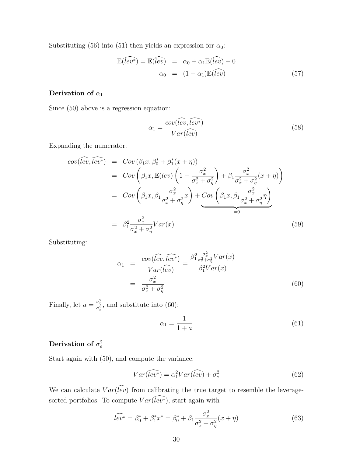Substituting (56) into (51) then yields an expression for  $\alpha_0$ :

$$
\mathbb{E}(\widehat{lev^*}) = \mathbb{E}(\widehat{lev}) = \alpha_0 + \alpha_1 \mathbb{E}(\widehat{lev}) + 0
$$
  

$$
\alpha_0 = (1 - \alpha_1) \mathbb{E}(\widehat{lev})
$$
 (57)

### Derivation of  $\alpha_1$

Since (50) above is a regression equation:

$$
\alpha_1 = \frac{cov(\widehat{lev}, \widehat{lev^*})}{Var(\widehat{lev})}
$$
\n(58)

Expanding the numerator:

$$
cov(\widehat{lev}, \widehat{lev^*}) = Cov(\beta_1 x, \beta_0^* + \beta_1^*(x + \eta))
$$
  
\n
$$
= Cov\left(\beta_1 x, \mathbb{E}(lev)\left(1 - \frac{\sigma_x^2}{\sigma_x^2 + \sigma_\eta^2}\right) + \beta_1 \frac{\sigma_x^2}{\sigma_x^2 + \sigma_\eta^2}(x + \eta)\right)
$$
  
\n
$$
= Cov\left(\beta_1 x, \beta_1 \frac{\sigma_x^2}{\sigma_x^2 + \sigma_\eta^2}x\right) + Cov\left(\beta_1 x, \beta_1 \frac{\sigma_x^2}{\sigma_x^2 + \sigma_\eta^2}\eta\right)
$$
  
\n
$$
= \beta_1^2 \frac{\sigma_x^2}{\sigma_x^2 + \sigma_\eta^2} Var(x)
$$
  
\n(59)

Substituting:

$$
\alpha_1 = \frac{cov(\widehat{lev}, \widehat{lev^*})}{Var(\widehat{lev})} = \frac{\beta_1^2 \frac{\sigma_x^2}{\sigma_x^2 + \sigma_\eta^2} Var(x)}{\beta_1^2 Var(x)}
$$

$$
= \frac{\sigma_x^2}{\sigma_x^2 + \sigma_\eta^2}
$$
(60)

Finally, let  $a = \frac{\sigma_{\eta}^2}{\sigma_x^2}$ , and substitute into (60):

$$
\alpha_1 = \frac{1}{1+a} \tag{61}
$$

### Derivation of  $\sigma_e^2$

Start again with (50), and compute the variance:

$$
Var(\widehat{lev^*}) = \alpha_1^2 Var(\widehat{lev}) + \sigma_e^2
$$
\n(62)

We can calculate  $Var(\widehat{lev})$  from calibrating the true target to resemble the leveragesorted portfolios. To compute  $Var(lev^*)$ , start again with

$$
\widehat{lev^*} = \beta_0^* + \beta_1^* x^* = \beta_0^* + \beta_1 \frac{\sigma_x^2}{\sigma_x^2 + \sigma_\eta^2} (x + \eta)
$$
\n(63)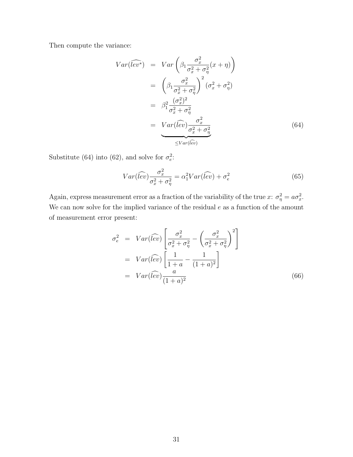Then compute the variance:

$$
Var(\widehat{lev^*}) = Var\left(\beta_1 \frac{\sigma_x^2}{\sigma_x^2 + \sigma_\eta^2}(x + \eta)\right)
$$
  
\n
$$
= \left(\beta_1 \frac{\sigma_x^2}{\sigma_x^2 + \sigma_\eta^2}\right)^2 (\sigma_x^2 + \sigma_\eta^2)
$$
  
\n
$$
= \beta_1^2 \frac{(\sigma_x^2)^2}{\sigma_x^2 + \sigma_\eta^2}
$$
  
\n
$$
= Var(\widehat{lev}) \frac{\sigma_x^2}{\sigma_x^2 + \sigma_\eta^2}
$$
  
\n
$$
\leq Var(\widehat{lev})
$$
 (64)

Substitute (64) into (62), and solve for  $\sigma_e^2$ :

$$
Var(\widehat{lev})\frac{\sigma_x^2}{\sigma_x^2 + \sigma_\eta^2} = \alpha_1^2 Var(\widehat{lev}) + \sigma_e^2
$$
\n(65)

Again, express measurement error as a fraction of the variability of the true x:  $\sigma_{\eta}^2 = a\sigma_x^2$ . We can now solve for the implied variance of the residual  $e$  as a function of the amount of measurement error present:

$$
\sigma_e^2 = Var(\widehat{lev}) \left[ \frac{\sigma_x^2}{\sigma_x^2 + \sigma_\eta^2} - \left( \frac{\sigma_x^2}{\sigma_x^2 + \sigma_\eta^2} \right)^2 \right]
$$
  
=  $Var(\widehat{lev}) \left[ \frac{1}{1+a} - \frac{1}{(1+a)^2} \right]$   
=  $Var(\widehat{lev}) \frac{a}{(1+a)^2}$  (66)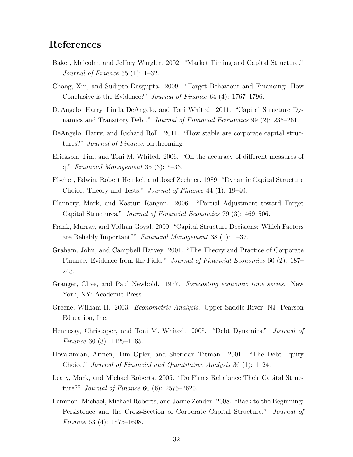## References

- Baker, Malcolm, and Jeffrey Wurgler. 2002. "Market Timing and Capital Structure." Journal of Finance 55 (1): 1–32.
- Chang, Xin, and Sudipto Dasgupta. 2009. "Target Behaviour and Financing: How Conclusive is the Evidence?" Journal of Finance 64 (4): 1767–1796.
- DeAngelo, Harry, Linda DeAngelo, and Toni Whited. 2011. "Capital Structure Dynamics and Transitory Debt." *Journal of Financial Economics* 99 (2): 235–261.
- DeAngelo, Harry, and Richard Roll. 2011. "How stable are corporate capital structures?" Journal of Finance, forthcoming.
- Erickson, Tim, and Toni M. Whited. 2006. "On the accuracy of different measures of q." Financial Management 35 (3): 5–33.
- Fischer, Edwin, Robert Heinkel, and Josef Zechner. 1989. "Dynamic Capital Structure Choice: Theory and Tests." Journal of Finance 44 (1): 19–40.
- Flannery, Mark, and Kasturi Rangan. 2006. "Partial Adjustment toward Target Capital Structures." Journal of Financial Economics 79 (3): 469–506.
- Frank, Murray, and Vidhan Goyal. 2009. "Capital Structure Decisions: Which Factors are Reliably Important?" Financial Management 38 (1): 1–37.
- Graham, John, and Campbell Harvey. 2001. "The Theory and Practice of Corporate Finance: Evidence from the Field." *Journal of Financial Economics* 60 (2): 187– 243.
- Granger, Clive, and Paul Newbold. 1977. Forecasting economic time series. New York, NY: Academic Press.
- Greene, William H. 2003. Econometric Analysis. Upper Saddle River, NJ: Pearson Education, Inc.
- Hennessy, Christoper, and Toni M. Whited. 2005. "Debt Dynamics." Journal of Finance 60 (3): 1129–1165.
- Hovakimian, Armen, Tim Opler, and Sheridan Titman. 2001. "The Debt-Equity Choice." Journal of Financial and Quantitative Analysis 36 (1): 1–24.
- Leary, Mark, and Michael Roberts. 2005. "Do Firms Rebalance Their Capital Structure?" Journal of Finance 60 (6): 2575–2620.
- Lemmon, Michael, Michael Roberts, and Jaime Zender. 2008. "Back to the Beginning: Persistence and the Cross-Section of Corporate Capital Structure." Journal of Finance 63 (4): 1575–1608.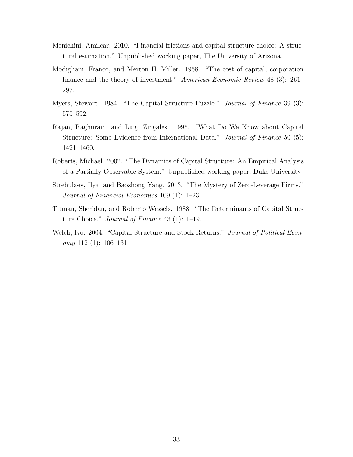- Menichini, Amilcar. 2010. "Financial frictions and capital structure choice: A structural estimation." Unpublished working paper, The University of Arizona.
- Modigliani, Franco, and Merton H. Miller. 1958. "The cost of capital, corporation finance and the theory of investment." American Economic Review 48 (3): 261– 297.
- Myers, Stewart. 1984. "The Capital Structure Puzzle." Journal of Finance 39 (3): 575–592.
- Rajan, Raghuram, and Luigi Zingales. 1995. "What Do We Know about Capital Structure: Some Evidence from International Data." Journal of Finance 50 (5): 1421–1460.
- Roberts, Michael. 2002. "The Dynamics of Capital Structure: An Empirical Analysis of a Partially Observable System." Unpublished working paper, Duke University.
- Strebulaev, Ilya, and Baozhong Yang. 2013. "The Mystery of Zero-Leverage Firms." Journal of Financial Economics 109 (1): 1–23.
- Titman, Sheridan, and Roberto Wessels. 1988. "The Determinants of Capital Structure Choice." Journal of Finance 43 (1): 1–19.
- Welch, Ivo. 2004. "Capital Structure and Stock Returns." Journal of Political Economy 112 (1): 106–131.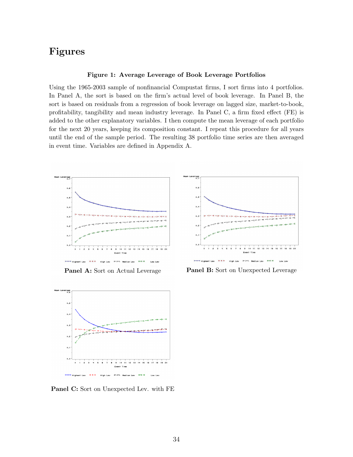# Figures

#### Figure 1: Average Leverage of Book Leverage Portfolios

Using the 1965-2003 sample of nonfinancial Compustat firms, I sort firms into 4 portfolios. In Panel A, the sort is based on the firm's actual level of book leverage. In Panel B, the sort is based on residuals from a regression of book leverage on lagged size, market-to-book, profitability, tangibility and mean industry leverage. In Panel C, a firm fixed effect (FE) is added to the other explanatory variables. I then compute the mean leverage of each portfolio for the next 20 years, keeping its composition constant. I repeat this procedure for all years until the end of the sample period. The resulting 38 portfolio time series are then averaged in event time. Variables are defined in Appendix A.



Panel A: Sort on Actual Leverage



Panel C: Sort on Unexpected Lev. with FE



Panel B: Sort on Unexpected Leverage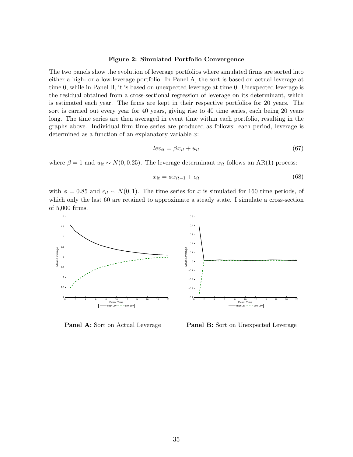#### Figure 2: Simulated Portfolio Convergence

The two panels show the evolution of leverage portfolios where simulated firms are sorted into either a high- or a low-leverage portfolio. In Panel A, the sort is based on actual leverage at time 0, while in Panel B, it is based on unexpected leverage at time 0. Unexpected leverage is the residual obtained from a cross-sectional regression of leverage on its determinant, which is estimated each year. The firms are kept in their respective portfolios for 20 years. The sort is carried out every year for 40 years, giving rise to 40 time series, each being 20 years long. The time series are then averaged in event time within each portfolio, resulting in the graphs above. Individual firm time series are produced as follows: each period, leverage is determined as a function of an explanatory variable  $x$ :

$$
lev_{it} = \beta x_{it} + u_{it} \tag{67}
$$

where  $\beta = 1$  and  $u_{it} \sim N(0, 0.25)$ . The leverage determinant  $x_{it}$  follows an AR(1) process:

$$
x_{it} = \phi x_{it-1} + \epsilon_{it} \tag{68}
$$

with  $\phi = 0.85$  and  $\epsilon_{it} \sim N(0, 1)$ . The time series for x is simulated for 160 time periods, of which only the last 60 are retained to approximate a steady state. I simulate a cross-section of 5,000 firms.



Panel A: Sort on Actual Leverage

Panel B: Sort on Unexpected Leverage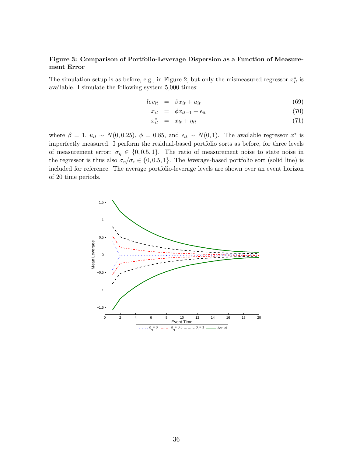### Figure 3: Comparison of Portfolio-Leverage Dispersion as a Function of Measurement Error

The simulation setup is as before, e.g., in Figure 2, but only the mismeasured regressor  $x_{it}^*$  is available. I simulate the following system 5,000 times:

$$
lev_{it} = \beta x_{it} + u_{it} \tag{69}
$$

$$
x_{it} = \phi x_{it-1} + \epsilon_{it} \tag{70}
$$

$$
x_{it}^* = x_{it} + \eta_{it} \tag{71}
$$

where  $\beta = 1$ ,  $u_{it} \sim N(0, 0.25)$ ,  $\phi = 0.85$ , and  $\epsilon_{it} \sim N(0, 1)$ . The available regressor  $x^*$  is imperfectly measured. I perform the residual-based portfolio sorts as before, for three levels of measurement error:  $\sigma_{\eta} \in \{0, 0.5, 1\}$ . The ratio of measurement noise to state noise in the regressor is thus also  $\sigma_{\eta}/\sigma_{\epsilon} \in \{0, 0.5, 1\}$ . The leverage-based portfolio sort (solid line) is included for reference. The average portfolio-leverage levels are shown over an event horizon of 20 time periods.

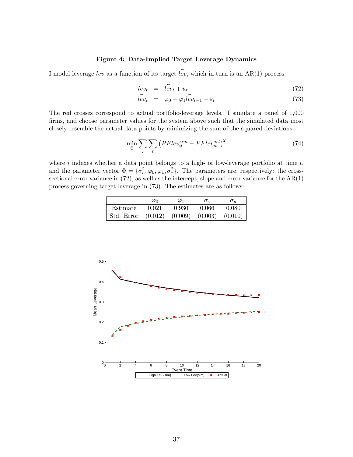### Figure 4: Data-Implied Target Leverage Dynamics

I model leverage lev as a function of its target  $\widehat{lev}$ , which in turn is an AR(1) process:

$$
lev_t = \hat{lev}_t + u_t \tag{72}
$$

$$
\dot{lev}_t = \varphi_0 + \varphi_1 \dot{lev}_{t-1} + \varepsilon_t \tag{73}
$$

The red crosses correspond to actual portfolio-leverage levels. I simulate a panel of 1,000 firms, and choose parameter values for the system above such that the simulated data most closely resemble the actual data points by minimizing the sum of the squared deviations:

$$
\min_{\Phi} \sum_{i} \sum_{t} \left( PFlev_{it}^{sim} - PFlev_{it}^{act} \right)^{2} \tag{74}
$$

where i indexes whether a data point belongs to a high- or low-leverage portfolio at time  $t$ , and the parameter vector  $\Phi = {\sigma_u^2, \varphi_0, \varphi_1, \sigma_\varepsilon^2}$ . The parameters are, respectively: the crosssectional error variance in  $(72)$ , as well as the intercept, slope and error variance for the  $AR(1)$ process governing target leverage in (73). The estimates are as follows:

|                                                            | $\varphi_0$ | $\varphi_1$ | $\sigma_{\varepsilon}$ | $\sigma_u$ |
|------------------------------------------------------------|-------------|-------------|------------------------|------------|
| Estimate                                                   | 0.021       | 0.930       | 0.066                  | 0.080      |
| $\vert$ Std. Error $(0.012)$ $(0.009)$ $(0.003)$ $(0.010)$ |             |             |                        |            |

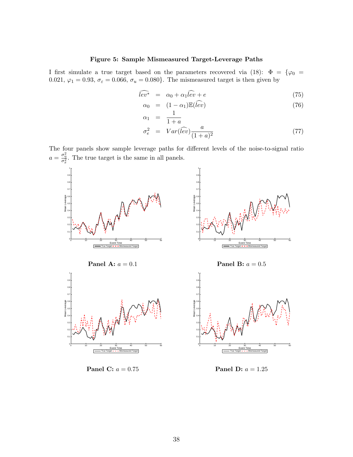### Figure 5: Sample Mismeasured Target-Leverage Paths

I first simulate a true target based on the parameters recovered via (18):  $\Phi = {\varphi_0 =$ 0.021,  $\varphi_1 = 0.93$ ,  $\sigma_{\varepsilon} = 0.066$ ,  $\sigma_u = 0.080$ . The mismeasured target is then given by

$$
\widehat{lev^*} = \alpha_0 + \alpha_1 \widehat{lev} + e \tag{75}
$$

$$
\alpha_0 = (1 - \alpha_1) \mathbb{E}(\widehat{lev}) \tag{76}
$$

$$
\alpha_1 = \frac{1}{1+a}
$$
\n
$$
\sigma^2 = Var(\widehat{\omega}) \qquad a \tag{77}
$$

$$
\sigma_e^2 = Var(\widehat{lev}) \frac{a}{(1+a)^2} \tag{77}
$$

The four panels show sample leverage paths for different levels of the noise-to-signal ratio  $a = \frac{\sigma_{\eta}^2}{\sigma_x^2}$ . The true target is the same in all panels.



Panel C:  $a=0.75\,$ 

**Panel D:**  $a = 1.25$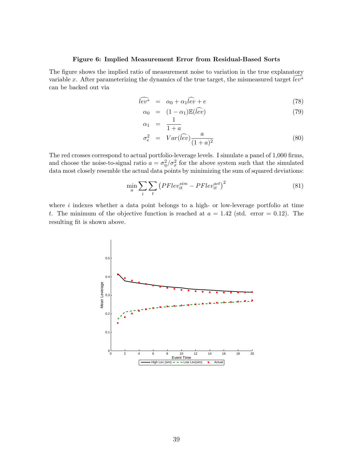### Figure 6: Implied Measurement Error from Residual-Based Sorts

The figure shows the implied ratio of measurement noise to variation in the true explanatory variable x. After parameterizing the dynamics of the true target, the mismeasured target  $lev^*$ can be backed out via

$$
\widehat{lev^*} = \alpha_0 + \alpha_1 \widehat{lev} + e \tag{78}
$$

$$
\alpha_0 = (1 - \alpha_1) \mathbb{E}(\widehat{lev})
$$
\n
$$
(79)
$$

$$
\alpha_1 = \frac{1}{1+a}
$$
  
\n
$$
\sigma_e^2 = Var(\widehat{lev}) \frac{a}{(1+a)^2}
$$
\n(80)

The red crosses correspond to actual portfolio-leverage levels. I simulate a panel of 1,000 firms, and choose the noise-to-signal ratio  $a = \sigma_{\eta}^2/\sigma_x^2$  for the above system such that the simulated data most closely resemble the actual data points by minimizing the sum of squared deviations:

$$
\min_{a} \sum_{i} \sum_{t} \left( PFlev_{it}^{sim} - PFlev_{it}^{act} \right)^{2} \tag{81}
$$

where  $i$  indexes whether a data point belongs to a high- or low-leverage portfolio at time t. The minimum of the objective function is reached at  $a = 1.42$  (std. error = 0.12). The resulting fit is shown above.

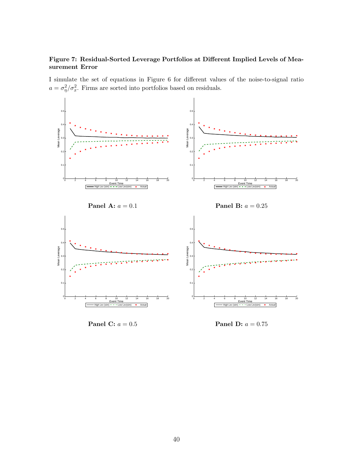### Figure 7: Residual-Sorted Leverage Portfolios at Different Implied Levels of Measurement Error

I simulate the set of equations in Figure 6 for different values of the noise-to-signal ratio  $a = \sigma_{\eta}^2/\sigma_x^2$ . Firms are sorted into portfolios based on residuals.



Panel C:  $a = 0.5$ 

**Panel D:**  $a = 0.75$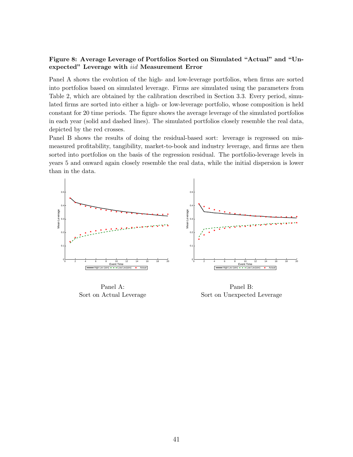### Figure 8: Average Leverage of Portfolios Sorted on Simulated "Actual" and "Unexpected" Leverage with iid Measurement Error

Panel A shows the evolution of the high- and low-leverage portfolios, when firms are sorted into portfolios based on simulated leverage. Firms are simulated using the parameters from Table 2, which are obtained by the calibration described in Section 3.3. Every period, simulated firms are sorted into either a high- or low-leverage portfolio, whose composition is held constant for 20 time periods. The figure shows the average leverage of the simulated portfolios in each year (solid and dashed lines). The simulated portfolios closely resemble the real data, depicted by the red crosses.

Panel B shows the results of doing the residual-based sort: leverage is regressed on mismeasured profitability, tangibility, market-to-book and industry leverage, and firms are then sorted into portfolios on the basis of the regression residual. The portfolio-leverage levels in years 5 and onward again closely resemble the real data, while the initial dispersion is lower than in the data.



Panel A: Sort on Actual Leverage

Panel B: Sort on Unexpected Leverage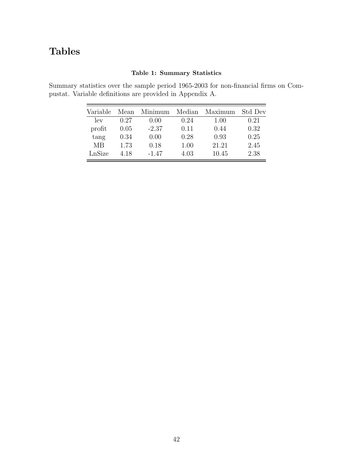# Tables

### Table 1: Summary Statistics

Summary statistics over the sample period 1965-2003 for non-financial firms on Compustat. Variable definitions are provided in Appendix A.

| Variable | Mean | Minimum | Median | Maximum | Std Dev |
|----------|------|---------|--------|---------|---------|
| lev      | 0.27 | 0.00    | 0.24   | 1.00    | 0.21    |
| profit   | 0.05 | $-2.37$ | 0.11   | 0.44    | 0.32    |
| tang     | 0.34 | 0.00    | 0.28   | 0.93    | 0.25    |
| MВ       | 1.73 | 0.18    | 1.00   | 21.21   | 2.45    |
| LnSize   | 4.18 | $-1.47$ | 4.03   | 10.45   | 2.38    |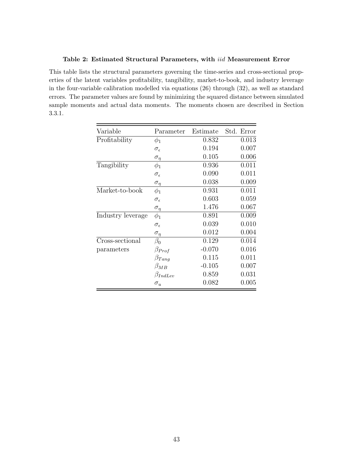### Table 2: Estimated Structural Parameters, with iid Measurement Error

This table lists the structural parameters governing the time-series and cross-sectional properties of the latent variables profitability, tangibility, market-to-book, and industry leverage in the four-variable calibration modelled via equations (26) through (32), as well as standard errors. The parameter values are found by minimizing the squared distance between simulated sample moments and actual data moments. The moments chosen are described in Section 3.3.1.

| Variable          | Parameter           | Estimate | Std. Error |
|-------------------|---------------------|----------|------------|
| Profitability     | $\phi_1$            | 0.832    | 0.013      |
|                   | $\sigma_{\epsilon}$ | 0.194    | 0.007      |
|                   | $\sigma_{\eta}$     | 0.105    | 0.006      |
| Tangibility       | $\phi_1$            | 0.936    | 0.011      |
|                   | $\sigma_{\epsilon}$ | 0.090    | 0.011      |
|                   | $\sigma_{\eta}$     | 0.038    | 0.009      |
| Market-to-book    | $\phi_1$            | 0.931    | 0.011      |
|                   | $\sigma_{\epsilon}$ | 0.603    | 0.059      |
|                   | $\sigma_\eta$       | 1.476    | 0.067      |
| Industry leverage | $\phi_1$            | 0.891    | 0.009      |
|                   | $\sigma_{\epsilon}$ | 0.039    | 0.010      |
|                   | $\sigma_{\eta}$     | 0.012    | 0.004      |
| Cross-sectional   | $\beta_0$           | 0.129    | 0.014      |
| parameters        | $\beta_{Prof}$      | $-0.070$ | 0.016      |
|                   | $\beta_{Tang}$      | 0.115    | 0.011      |
|                   | $\beta_{MB}$        | $-0.105$ | 0.007      |
|                   | $\beta_{IndLev}$    | 0.859    | 0.031      |
|                   | $\sigma_u$          | 0.082    | 0.005      |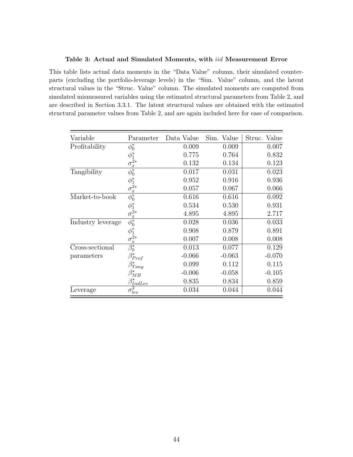### Table 3: Actual and Simulated Moments, with iid Measurement Error

This table lists actual data moments in the "Data Value" column, their simulated counterparts (excluding the portfolio-leverage levels) in the "Sim. Value" column, and the latent structural values in the "Struc. Value" column. The simulated moments are computed from simulated mismeasured variables using the estimated structural parameters from Table 2, and are described in Section 3.3.1. The latent structural values are obtained with the estimated structural parameter values from Table 2, and are again included here for ease of comparison.

| Variable          | Parameter                                 | Data Value | Sim.<br>Value | Value<br>Struc. |
|-------------------|-------------------------------------------|------------|---------------|-----------------|
| Profitability     | $\phi_0^*$                                | 0.009      | 0.009         | 0.007           |
|                   |                                           | 0.775      | 0.764         | 0.832           |
|                   |                                           | 0.132      | 0.134         | 0.123           |
| Tangibility       | $\frac{\phi_1^*}{\sigma_x^{2*}}$          | 0.017      | 0.031         | 0.023           |
|                   |                                           | 0.952      | 0.916         | 0.936           |
|                   | $\phi_1^*$<br>$\sigma_x^{2*}$             | 0.057      | 0.067         | 0.066           |
| Market-to-book    | $\overline{\phi_0^*}$                     | 0.616      | 0.616         | 0.092           |
|                   |                                           | 0.534      | 0.530         | 0.931           |
|                   | $\phi_1^*$<br>$\sigma_x^{2*}$             | 4.895      | 4.895         | 2.717           |
| Industry leverage | $\overline{\phi_0^*}$                     | 0.028      | 0.036         | 0.033           |
|                   |                                           | 0.908      | 0.879         | 0.891           |
|                   | $\frac{\phi_1^*}{\sigma_x^{2*}}$          | 0.007      | 0.008         | 0.008           |
| Cross-sectional   |                                           | 0.013      | 0.077         | 0.129           |
| parameters        | $\beta^*_{Prof}$                          | $-0.066$   | $-0.063$      | $-0.070$        |
|                   | $\beta^{*}_{Tang}$                        | 0.099      | 0.112         | 0.115           |
|                   | $\beta^*_{MB}$                            | $-0.006$   | $-0.058$      | $-0.105$        |
|                   |                                           | 0.835      | 0.834         | 0.859           |
| Leverage          | $\frac{\beta^*_{IndLev}}{\sigma^2_{lev}}$ | 0.034      | 0.044         | 0.044           |